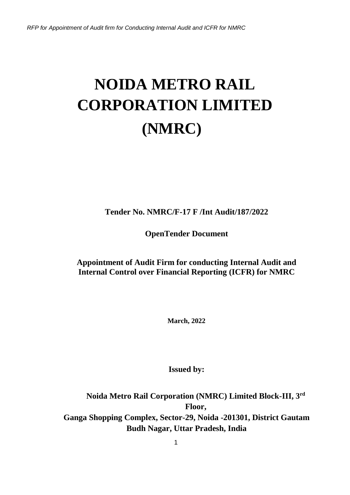# **NOIDA METRO RAIL CORPORATION LIMITED (NMRC)**

**Tender No. NMRC/F-17 F /Int Audit/187/2022**

**OpenTender Document**

**Appointment of Audit Firm for conducting Internal Audit and Internal Control over Financial Reporting (ICFR) for NMRC**

**March, 2022**

**Issued by:**

**Noida Metro Rail Corporation (NMRC) Limited Block-III, 3rd Floor, Ganga Shopping Complex, Sector-29, Noida -201301, District Gautam Budh Nagar, Uttar Pradesh, India**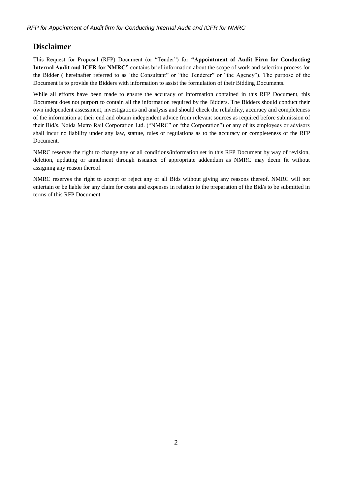# <span id="page-1-0"></span>**Disclaimer**

This Request for Proposal (RFP) Document (or "Tender") for **"Appointment of Audit Firm for Conducting Internal Audit and ICFR for NMRC"** contains brief information about the scope of work and selection process for the Bidder ( hereinafter referred to as 'the Consultant" or "the Tenderer" or "the Agency"). The purpose of the Document is to provide the Bidders with information to assist the formulation of their Bidding Documents.

While all efforts have been made to ensure the accuracy of information contained in this RFP Document, this Document does not purport to contain all the information required by the Bidders. The Bidders should conduct their own independent assessment, investigations and analysis and should check the reliability, accuracy and completeness of the information at their end and obtain independent advice from relevant sources as required before submission of their Bid/s. Noida Metro Rail Corporation Ltd. ("NMRC" or "the Corporation") or any of its employees or advisors shall incur no liability under any law, statute, rules or regulations as to the accuracy or completeness of the RFP Document.

NMRC reserves the right to change any or all conditions/information set in this RFP Document by way of revision, deletion, updating or annulment through issuance of appropriate addendum as NMRC may deem fit without assigning any reason thereof.

NMRC reserves the right to accept or reject any or all Bids without giving any reasons thereof. NMRC will not entertain or be liable for any claim for costs and expenses in relation to the preparation of the Bid/s to be submitted in terms of this RFP Document.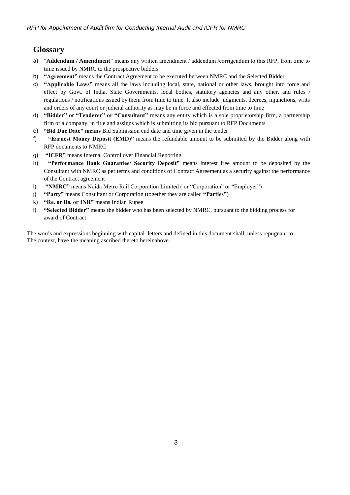# <span id="page-2-0"></span>**Glossary**

- a) "**Addendum / Amendment**" means any written amendment / addendum /corrigendum to this RFP, from time to time issued by NMRC to the prospective bidders
- b) **"Agreement"** means the Contract Agreement to be executed between NMRC and the Selected Bidder
- c) **"Applicable Laws"** means all the laws including local, state, national or other laws, brought into force and effect by Govt. of India, State Governments, local bodies, statutory agencies and any other, and rules / regulations / notifications issued by them from time to time. It also include judgments, decrees, injunctions, writs and orders of any court or judicial authority as may be in force and effected from time to time
- d) **"Bidder"** or **"Tenderer" or "Consultant"** means any entity which is a sole proprietorship firm, a partnership firm or a company, in title and assigns which is submitting its bid pursuant to RFP Documents
- e) **"Bid Due Date" means** Bid Submission end date and time given in the tender
- f) **"Earnest Money Deposit (EMD)"** means the refundable amount to be submitted by the Bidder along with RFP documents to NMRC
- g) **"ICFR"** means Internal Control over Financial Reporting
- h) **"Performance Bank Guarantee/ Security Deposit"** means interest free amount to be deposited by the Consultant with NMRC as per terms and conditions of Contract Agreement as a security against the performance of the Contract agreement
- i) **"NMRC"** means Noida Metro Rail Corporation Limited (or "Corporation" or "Employer")
- j) **"Party"** means Consultant or Corporation (together they are called **"Parties"**)
- k) **"Re. or Rs. or INR"** means Indian Rupee
- l) **"Selected Bidder"** means the bidder who has been selected by NMRC, pursuant to the bidding process for award of Contract

The words and expressions beginning with capital letters and defined in this document shall, unless repugnant to The context, have the meaning ascribed thereto hereinabove.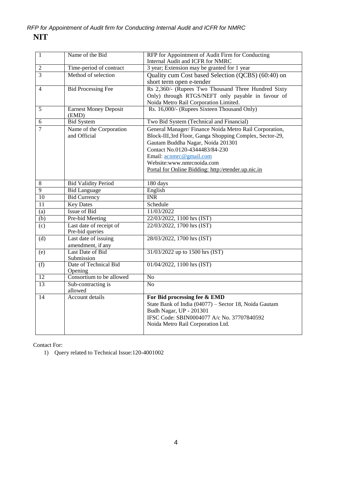| $\mathbf{1}$     | Name of the Bid                            | RFP for Appointment of Audit Firm for Conducting<br>Internal Audit and ICFR for NMRC                                                                                                                                                                                                                    |
|------------------|--------------------------------------------|---------------------------------------------------------------------------------------------------------------------------------------------------------------------------------------------------------------------------------------------------------------------------------------------------------|
| $\overline{c}$   | Time-period of contract                    | 3 year; Extension may be granted for 1 year                                                                                                                                                                                                                                                             |
| 3                | Method of selection                        | Quality cum Cost based Selection (QCBS) (60:40) on<br>short term open e-tender                                                                                                                                                                                                                          |
| 4                | <b>Bid Processing Fee</b>                  | Rs 2,360/- (Rupees Two Thousand Three Hundred Sixty<br>Only) through RTGS/NEFT only payable in favour of<br>Noida Metro Rail Corporation Limited.                                                                                                                                                       |
| 5                | <b>Earnest Money Deposit</b><br>(EMD)      | Rs. 16,000/- (Rupees Sixteen Thousand Only)                                                                                                                                                                                                                                                             |
| 6                | <b>Bid System</b>                          | Two Bid System (Technical and Financial)                                                                                                                                                                                                                                                                |
| 7                | Name of the Corporation<br>and Official    | General Manager/ Finance Noida Metro Rail Corporation,<br>Block-III, 3rd Floor, Ganga Shopping Complex, Sector-29,<br>Gautam Buddha Nagar, Noida 201301<br>Contact No.0120-4344483/84-230<br>Email: acnmrc@gmail.com<br>Website:www.nmrcnoida.com<br>Portal for Online Bidding: http:/etender.up.nic.in |
| $\,8\,$          | <b>Bid Validity Period</b>                 | 180 days                                                                                                                                                                                                                                                                                                |
| $\overline{9}$   | <b>Bid Language</b>                        | English                                                                                                                                                                                                                                                                                                 |
| $\overline{10}$  | <b>Bid Currency</b>                        | <b>INR</b>                                                                                                                                                                                                                                                                                              |
| 11               | <b>Key Dates</b>                           | Schedule                                                                                                                                                                                                                                                                                                |
| (a)              | <b>Issue of Bid</b>                        | 11/03/2022                                                                                                                                                                                                                                                                                              |
| $\overline{(b)}$ | Pre-bid Meeting                            | 22/03/2022, 1100 hrs (IST)                                                                                                                                                                                                                                                                              |
| (c)              | Last date of receipt of<br>Pre-bid queries | 22/03/2022, 1700 hrs (IST)                                                                                                                                                                                                                                                                              |
| (d)              | Last date of issuing<br>amendment, if any  | 28/03/2022, 1700 hrs (IST)                                                                                                                                                                                                                                                                              |
| (e)              | Last Date of Bid<br>Submission             | 31/03/2022 up to 1500 hrs (IST)                                                                                                                                                                                                                                                                         |
| (f)              | Date of Technical Bid<br>Opening           | 01/04/2022, 1100 hrs (IST)                                                                                                                                                                                                                                                                              |
| $\overline{12}$  | Consortium to be allowed                   | N <sub>o</sub>                                                                                                                                                                                                                                                                                          |
| 13               | Sub-contracting is<br>allowed              | N <sub>o</sub>                                                                                                                                                                                                                                                                                          |
| 14               | Account details                            | For Bid processing fee & EMD<br>State Bank of India (04077) - Sector 18, Noida Gautam<br>Budh Nagar, UP - 201301<br>IFSC Code: SBIN0004077 A/c No. 37707840592<br>Noida Metro Rail Corporation Ltd.                                                                                                     |

Contact For:

1) Query related to Technical Issue:120-4001002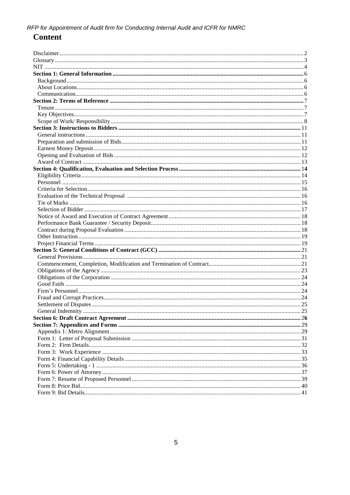# **Content**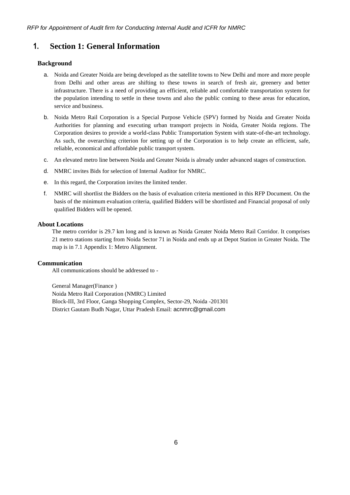# <span id="page-5-0"></span>**1. Section 1: General Information**

## <span id="page-5-1"></span>**Background**

- a. Noida and Greater Noida are being developed as the satellite towns to New Delhi and more and more people from Delhi and other areas are shifting to these towns in search of fresh air, greenery and better infrastructure. There is a need of providing an efficient, reliable and comfortable transportation system for the population intending to settle in these towns and also the public coming to these areas for education, service and business.
- b. Noida Metro Rail Corporation is a Special Purpose Vehicle (SPV) formed by Noida and Greater Noida Authorities for planning and executing urban transport projects in Noida, Greater Noida regions. The Corporation desires to provide a world-class Public Transportation System with state-of-the-art technology. As such, the overarching criterion for setting up of the Corporation is to help create an efficient, safe, reliable, economical and affordable public transport system.
- c. An elevated metro line between Noida and Greater Noida is already under advanced stages of construction.
- d. NMRC invites Bids for selection of Internal Auditor for NMRC.
- e. In this regard, the Corporation invites the limited tender.
- f. NMRC will shortlist the Bidders on the basis of evaluation criteria mentioned in this RFP Document. On the basis of the minimum evaluation criteria, qualified Bidders will be shortlisted and Financial proposal of only qualified Bidders will be opened.

## <span id="page-5-2"></span>**About Locations**

The metro corridor is 29.7 km long and is known as Noida Greater Noida Metro Rail Corridor. It comprises 21 metro stations starting from Noida Sector 71 in Noida and ends up at Depot Station in Greater Noida. The map is i[n 7.1 Appendix 1: Metro Alignment.](#page-28-0)

## <span id="page-5-3"></span>**Communication**

All communications should be addressed to -

General Manager(Finance ) Noida Metro Rail Corporation (NMRC) Limited Block-III, 3rd Floor, Ganga Shopping Complex, Sector-29, Noida -201301 District Gautam Budh Nagar, Uttar Pradesh Email: [acnmrc@gmail.com](mailto:acnmrc@gmail.com)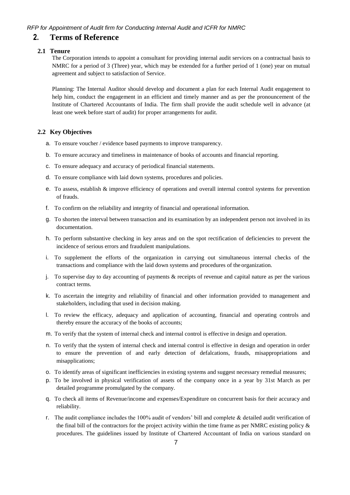# <span id="page-6-0"></span>**2. Terms of Reference**

#### <span id="page-6-1"></span>**2.1 Tenure**

The Corporation intends to appoint a consultant for providing internal audit services on a contractual basis to NMRC for a period of 3 (Three) year, which may be extended for a further period of 1 (one) year on mutual agreement and subject to satisfaction of Service.

Planning: The Internal Auditor should develop and document a plan for each Internal Audit engagement to help him, conduct the engagement in an efficient and timely manner and as per the pronouncement of the Institute of Chartered Accountants of India. The firm shall provide the audit schedule well in advance (at least one week before start of audit) for proper arrangements for audit.

#### <span id="page-6-2"></span>**2.2 Key Objectives**

- a. To ensure voucher / evidence based payments to improve transparency.
- b. To ensure accuracy and timeliness in maintenance of books of accounts and financial reporting.
- c. To ensure adequacy and accuracy of periodical financial statements.
- d. To ensure compliance with laid down systems, procedures and policies.
- e. To assess, establish & improve efficiency of operations and overall internal control systems for prevention of frauds.
- f. To confirm on the reliability and integrity of financial and operational information.
- g. To shorten the interval between transaction and its examination by an independent person not involved in its documentation.
- h. To perform substantive checking in key areas and on the spot rectification of deficiencies to prevent the incidence of serious errors and fraudulent manipulations.
- i. To supplement the efforts of the organization in carrying out simultaneous internal checks of the transactions and compliance with the laid down systems and procedures of the organization.
- j. To supervise day to day accounting of payments & receipts of revenue and capital nature as per the various contract terms.
- k. To ascertain the integrity and reliability of financial and other information provided to management and stakeholders, including that used in decision making.
- l. To review the efficacy, adequacy and application of accounting, financial and operating controls and thereby ensure the accuracy of the books of accounts;
- m. To verify that the system of internal check and internal control is effective in design and operation.
- n. To verify that the system of internal check and internal control is effective in design and operation in order to ensure the prevention of and early detection of defalcations, frauds, misappropriations and misapplications;
- o. To identify areas of significant inefficiencies in existing systems and suggest necessary remedial measures;
- p. To be involved in physical verification of assets of the company once in a year by 31st March as per detailed programme promulgated by the company.
- q. To check all items of Revenue/income and expenses/Expenditure on concurrent basis for their accuracy and reliability.
- r. The audit compliance includes the 100% audit of vendors' bill and complete & detailed audit verification of the final bill of the contractors for the project activity within the time frame as per NMRC existing policy & procedures. The guidelines issued by Institute of Chartered Accountant of India on various standard on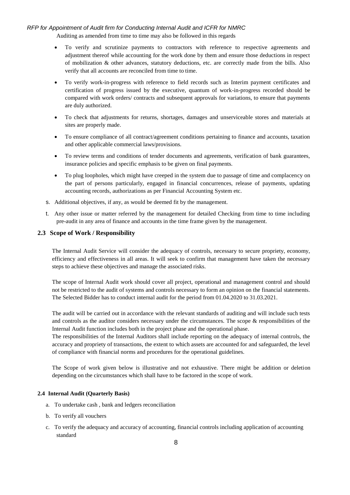Auditing as amended from time to time may also be followed in this regards

- To verify and scrutinize payments to contractors with reference to respective agreements and adjustment thereof while accounting for the work done by them and ensure those deductions in respect of mobilization & other advances, statutory deductions, etc. are correctly made from the bills. Also verify that all accounts are reconciled from time to time.
- To verify work-in-progress with reference to field records such as Interim payment certificates and certification of progress issued by the executive, quantum of work-in-progress recorded should be compared with work orders/ contracts and subsequent approvals for variations, to ensure that payments are duly authorized.
- To check that adjustments for returns, shortages, damages and unserviceable stores and materials at sites are properly made.
- To ensure compliance of all contract/agreement conditions pertaining to finance and accounts, taxation and other applicable commercial laws/provisions.
- To review terms and conditions of tender documents and agreements, verification of bank guarantees, insurance policies and specific emphasis to be given on final payments.
- To plug loopholes, which might have creeped in the system due to passage of time and complacency on the part of persons particularly, engaged in financial concurrences, release of payments, updating accounting records, authorizations as per Financial Accounting System etc.
- s. Additional objectives, if any, as would be deemed fit by the management.
- t. Any other issue or matter referred by the management for detailed Checking from time to time including pre-audit in any area of finance and accounts in the time frame given by the management.

#### <span id="page-7-0"></span>**2.3 Scope of Work / Responsibility**

The Internal Audit Service will consider the adequacy of controls, necessary to secure propriety, economy, efficiency and effectiveness in all areas. It will seek to confirm that management have taken the necessary steps to achieve these objectives and manage the associated risks.

The scope of Internal Audit work should cover all project, operational and management control and should not be restricted to the audit of systems and controls necessary to form an opinion on the financial statements. The Selected Bidder has to conduct internal audit for the period from 01.04.2020 to 31.03.2021.

The audit will be carried out in accordance with the relevant standards of auditing and will include such tests and controls as the auditor considers necessary under the circumstances. The scope & responsibilities of the Internal Audit function includes both in the project phase and the operational phase.

The responsibilities of the Internal Auditors shall include reporting on the adequacy of internal controls, the accuracy and propriety of transactions, the extent to which assets are accounted for and safeguarded, the level of compliance with financial norms and procedures for the operational guidelines.

The Scope of work given below is illustrative and not exhaustive. There might be addition or deletion depending on the circumstances which shall have to be factored in the scope of work.

#### **2.4 Internal Audit (Quarterly Basis)**

- a. To undertake cash , bank and ledgers reconciliation
- b. To verify all vouchers
- c. To verify the adequacy and accuracy of accounting, financial controls including application of accounting standard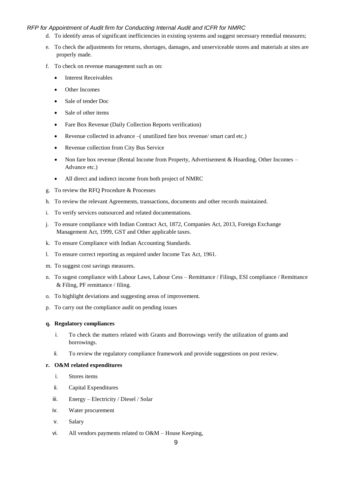- d. To identify areas of significant inefficiencies in existing systems and suggest necessary remedial measures;
- e. To check the adjustments for returns, shortages, damages, and unserviceable stores and materials at sites are properly made.
- f. To check on revenue management such as on:
	- Interest Receivables
	- Other Incomes
	- Sale of tender Doc
	- Sale of other items
	- Fare Box Revenue (Daily Collection Reports verification)
	- Revenue collected in advance –( unutilized fare box revenue/ smart card etc.)
	- Revenue collection from City Bus Service
	- Non fare box revenue (Rental Income from Property, Advertisement & Hoarding, Other Incomes Advance etc.)
	- All direct and indirect income from both project of NMRC
- g. To review the RFQ Procedure & Processes
- h. To review the relevant Agreements, transactions, documents and other records maintained.
- i. To verify services outsourced and related documentations.
- j. To ensure compliance with Indian Contract Act, 1872, Companies Act, 2013, Foreign Exchange Management Act, 1999, GST and Other applicable taxes.
- k. To ensure Compliance with Indian Accounting Standards.
- l. To ensure correct reporting as required under Income Tax Act, 1961.
- m. To suggest cost savings measures.
- n. To sugest compliance with Labour Laws, Labour Cess Remittance / Filings, ESI compliance / Remittance & Filing, PF remittance / filing.
- o. To highlight deviations and suggesting areas of improvement.
- p. To carry out the compliance audit on pending issues

#### **q. Regulatory compliances**

- i. To check the matters related with Grants and Borrowings verify the utilization of grants and borrowings.
- ii. To review the regulatory compliance framework and provide suggestions on post review.

#### **r. O&M related expenditures**

- i. Stores items
- ii. Capital Expenditures
- iii. Energy Electricity / Diesel / Solar
- iv. Water procurement
- v. Salary
- vi. All vendors payments related to O&M House Keeping,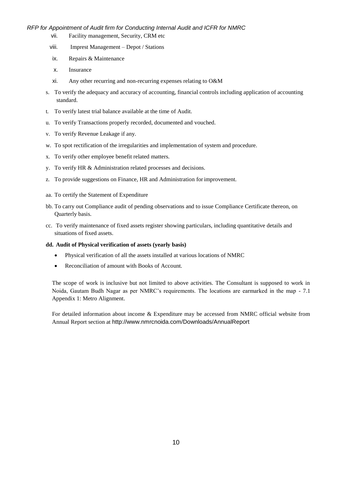- vii. Facility management, Security, CRM etc
- viii. Imprest Management Depot / Stations
- ix. Repairs & Maintenance
- x. Insurance
- xi. Any other recurring and non-recurring expenses relating to O&M
- s. To verify the adequacy and accuracy of accounting, financial controls including application of accounting standard.
- t. To verify latest trial balance available at the time of Audit.
- u. To verify Transactions properly recorded, documented and vouched.
- v. To verify Revenue Leakage if any.
- w. To spot rectification of the irregularities and implementation of system and procedure.
- x. To verify other employee benefit related matters.
- y. To verify HR & Administration related processes and decisions.
- z. To provide suggestions on Finance, HR and Administration forimprovement.
- aa. To certify the Statement of Expenditure
- bb. To carry out Compliance audit of pending observations and to issue Compliance Certificate thereon, on Quarterly basis.
- cc. To verify maintenance of fixed assets register showing particulars, including quantitative details and situations of fixed assets.

#### **dd. Audit of Physical verification of assets (yearly basis)**

- Physical verification of all the assets installed at various locations of NMRC
- Reconciliation of amount with Books of Account.

The scope of work is inclusive but not limited to above activities. The Consultant is supposed to work in Noida, Gautam Budh Nagar as per NMRC's requirements. The locations are earmarked in the map - [7.1](#page-28-0)  [Appendix 1: Metro Alignment.](#page-28-0)

For detailed information about income & Expenditure may be accessed from NMRC official website from Annual Report section at <http://www.nmrcnoida.com/Downloads/AnnualReport>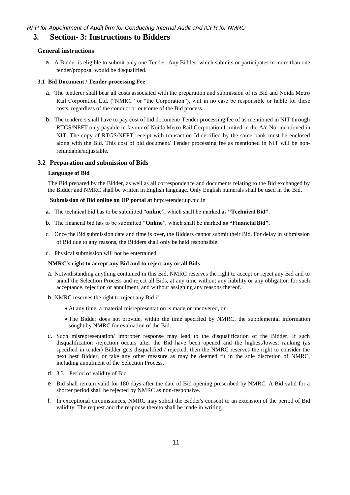# <span id="page-10-1"></span><span id="page-10-0"></span>**3. Section- 3: Instructions to Bidders**

#### **General instructions**

a. A Bidder is eligible to submit only one Tender. Any Bidder, which submits or participates in more than one tender/proposal would be disqualified.

#### **3.1 Bid Document / Tender processing Fee**

- a. The tenderer shall bear all costs associated with the preparation and submission of its Bid and Noida Metro Rail Corporation Ltd. ("NMRC" or "the Corporation"), will in no case be responsible or liable for these costs, regardless of the conduct or outcome of the Bid process.
- b. The tenderers shall have to pay cost of bid document/ Tender processing fee of as mentioned in NIT through RTGS/NEFT only payable in favour of Noida Metro Rail Corporation Limited in the A/c No. mentioned in NIT. The copy of RTGS/NEFT receipt with transaction Id certified by the same bank must be enclosed along with the Bid. This cost of bid document/ Tender processing fee as mentioned in NIT will be nonrefundable/adjustable.

#### **3.2 Preparation and submission of Bids**

#### **Language of Bid**

The Bid prepared by the Bidder, as well as all correspondence and documents relating to the Bid exchanged by the Bidder and NMRC shall be written in English language. Only English numerals shall be used in the Bid.

#### <span id="page-10-2"></span>**Submission of Bid online on UP portal at** http:/etender.up.nic.in

- **a.** The technical bid has to be submitted "**online**", which shall be marked as **"TechnicalBid".**
- **b.** The financial bid has to be submitted "**Online**", which shall be marked **as "FinancialBid".**
- c. Once the Bid submission date and time is over, the Bidders cannot submit their Bid. For delay in submission of Bid due to any reasons, the Bidders shall only be held responsible.
- d. Physical submission will not be entertained.

#### **NMRC's right to accept any Bid and to reject any or all Bids**

- a. Notwithstanding anything contained in this Bid, NMRC reserves the right to accept or reject any Bid and to annul the Selection Process and reject all Bids, at any time without any liability or any obligation for such acceptance, rejection or annulment, and without assigning any reasons thereof.
- b. NMRC reserves the right to reject any Bid if:
	- At any time, a material misrepresentation is made or uncovered, or
	- The Bidder does not provide, within the time specified by NMRC, the supplemental information sought by NMRC for evaluation of the Bid.
- c. Such misrepresentation/ improper response may lead to the disqualification of the Bidder. If such disqualification /rejection occurs after the Bid have been opened and the highest/lowest ranking (as specified in tender) Bidder gets disqualified / rejected, then the NMRC reserves the right to consider the next best Bidder, or take any other measure as may be deemed fit in the sole discretion of NMRC, including annulment of the Selection Process.
- d. 3.3 Period of validity of Bid
- e. Bid shall remain valid for 180 days after the date of Bid opening prescribed by NMRC. A Bid valid for a shorter period shall be rejected by NMRC as non-responsive.
- f. In exceptional circumstances, NMRC may solicit the Bidder's consent to an extension of the period of Bid validity. The request and the response thereto shall be made in writing.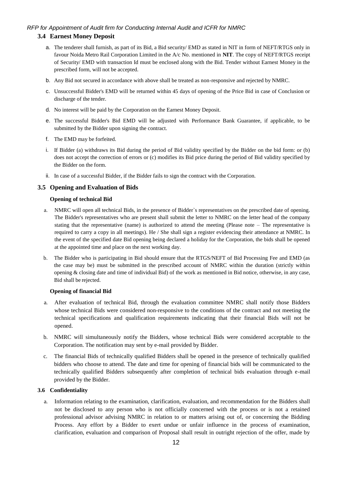# <span id="page-11-0"></span>**3.4 Earnest Money Deposit**

- a. The tenderer shall furnish, as part of its Bid, a Bid security/ EMD as stated in NIT in form of NEFT/RTGS only in favour Noida Metro Rail Corporation Limited in the A/c No. mentioned in **NIT**. The copy of NEFT/RTGS receipt of Security/ EMD with transaction Id must be enclosed along with the Bid. Tender without Earnest Money in the prescribed form, will not be accepted.
- b. Any Bid not secured in accordance with above shall be treated as non-responsive and rejected by NMRC.
- c. Unsuccessful Bidder's EMD will be returned within 45 days of opening of the Price Bid in case of Conclusion or discharge of the tender.
- d. No interest will be paid by the Corporation on the Earnest Money Deposit.
- e. The successful Bidder's Bid EMD will be adjusted with Performance Bank Guarantee, if applicable, to be submitted by the Bidder upon signing the contract.
- f. The EMD may be forfeited.
- i. If Bidder (a) withdraws its Bid during the period of Bid validity specified by the Bidder on the bid form: or (b) does not accept the correction of errors or (c) modifies its Bid price during the period of Bid validity specified by the Bidder on the form.
- ii. In case of a successful Bidder, if the Bidder fails to sign the contract with the Corporation.

#### <span id="page-11-1"></span>**3.5 Opening and Evaluation of Bids**

#### **Opening of technical Bid**

- a. NMRC will open all technical Bids, in the presence of Bidder`s representatives on the prescribed date of opening. The Bidder's representatives who are present shall submit the letter to NMRC on the letter head of the company stating that the representative (name) is authorized to attend the meeting (Please note – The representative is required to carry a copy in all meetings). He / She shall sign a register evidencing their attendance at NMRC. In the event of the specified date Bid opening being declared a holiday for the Corporation, the bids shall be opened at the appointed time and place on the next working day.
- b. The Bidder who is participating in Bid should ensure that the RTGS/NEFT of Bid Processing Fee and EMD (as the case may be) must be submitted in the prescribed account of NMRC within the duration (strictly within opening & closing date and time of individual Bid) of the work as mentioned in Bid notice, otherwise, in any case, Bid shall be rejected.

#### **Opening of financial Bid**

- a. After evaluation of technical Bid, through the evaluation committee NMRC shall notify those Bidders whose technical Bids were considered non-responsive to the conditions of the contract and not meeting the technical specifications and qualification requirements indicating that their financial Bids will not be opened.
- b. NMRC will simultaneously notify the Bidders, whose technical Bids were considered acceptable to the Corporation. The notification may sent by e-mail provided by Bidder.
- c. The financial Bids of technically qualified Bidders shall be opened in the presence of technically qualified bidders who choose to attend. The date and time for opening of financial bids will be communicated to the technically qualified Bidders subsequently after completion of technical bids evaluation through e-mail provided by the Bidder.

#### **3.6 Confidentiality**

a. Information relating to the examination, clarification, evaluation, and recommendation for the Bidders shall not be disclosed to any person who is not officially concerned with the process or is not a retained professional advisor advising NMRC in relation to or matters arising out of, or concerning the Bidding Process. Any effort by a Bidder to exert undue or unfair influence in the process of examination, clarification, evaluation and comparison of Proposal shall result in outright rejection of the offer, made by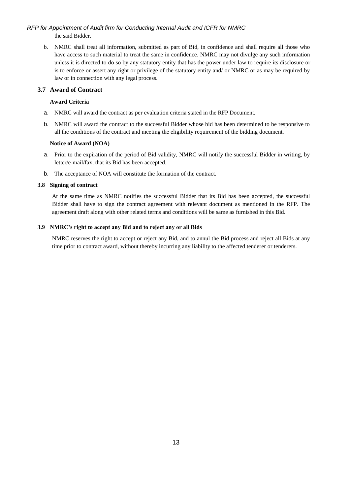b. NMRC shall treat all information, submitted as part of Bid, in confidence and shall require all those who have access to such material to treat the same in confidence. NMRC may not divulge any such information unless it is directed to do so by any statutory entity that has the power under law to require its disclosure or is to enforce or assert any right or privilege of the statutory entity and/ or NMRC or as may be required by law or in connection with any legal process.

#### <span id="page-12-0"></span>**3.7 Award of Contract**

#### **Award Criteria**

- a. NMRC will award the contract as per evaluation criteria stated in the RFP Document.
- b. NMRC will award the contract to the successful Bidder whose bid has been determined to be responsive to all the conditions of the contract and meeting the eligibility requirement of the bidding document.

#### **Notice of Award (NOA)**

- a. Prior to the expiration of the period of Bid validity, NMRC will notify the successful Bidder in writing, by letter/e-mail/fax, that its Bid has been accepted.
- b. The acceptance of NOA will constitute the formation of the contract.

## **3.8 Signing of contract**

At the same time as NMRC notifies the successful Bidder that its Bid has been accepted, the successful Bidder shall have to sign the contract agreement with relevant document as mentioned in the RFP. The agreement draft along with other related terms and conditions will be same as furnished in this Bid.

#### **3.9 NMRC's right to accept any Bid and to reject any or all Bids**

<span id="page-12-1"></span>NMRC reserves the right to accept or reject any Bid, and to annul the Bid process and reject all Bids at any time prior to contract award, without thereby incurring any liability to the affected tenderer or tenderers.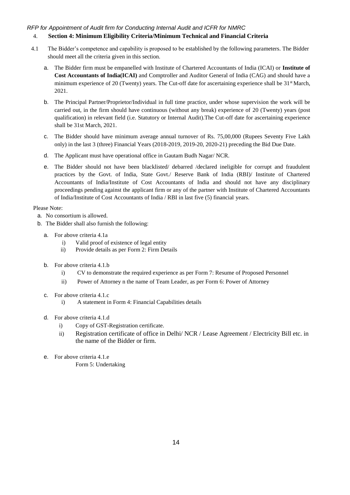# 4. **Section 4: Minimum Eligibility Criteria/Minimum Technical and Financial Criteria**

- <span id="page-13-0"></span>4.1 The Bidder's competence and capability is proposed to be established by the following parameters. The Bidder should meet all the criteria given in this section.
	- a. The Bidder firm must be empanelled with Institute of Chartered Accountants of India (ICAI) or **Institute of Cost Accountants of India(ICAI)** and Comptroller and Auditor General of India (CAG) and should have a minimum experience of 20 (Twenty) years. The Cut-off date for ascertaining experience shall be  $31<sup>st</sup>$  March, 2021.
	- b. The Principal Partner/Proprietor/Individual in full time practice, under whose supervision the work will be carried out, in the firm should have continuous (without any break) experience of 20 (Twenty) years (post qualification) in relevant field (i.e. Statutory or Internal Audit).The Cut-off date for ascertaining experience shall be 31st March, 2021.
	- c. The Bidder should have minimum average annual turnover of Rs. 75,00,000 (Rupees Seventy Five Lakh only) in the last 3 (three) Financial Years (2018-2019, 2019-20, 2020-21) preceding the Bid Due Date.
	- d. The Applicant must have operational office in Gautam Budh Nagar/ NCR.
	- e. The Bidder should not have been blacklisted/ debarred /declared ineligible for corrupt and fraudulent practices by the Govt. of India, State Govt./ Reserve Bank of India (RBI)/ Institute of Chartered Accountants of India/Institute of Cost Accountants of India and should not have any disciplinary proceedings pending against the applicant firm or any of the partner with Institute of Chartered Accountants of India/Institute of Cost Accountants of India / RBI in last five (5) financial years.

## Please Note:

- a. No consortium is allowed.
- <span id="page-13-2"></span>b. The Bidder shall also furnish the following:
	- a. For above criteria 4.1a
		- i) Valid proof of existence of legal entity
		- ii) Provide details as per [Form 2: Firm](#page-30-0) Details
	- b. For above criteria 4.1.b
		- i) CV to demonstrate the required experience as per [Form 7: Resume of Proposed](#page-37-0) [Personnel](#page-37-0)
		- ii) Power of Attorney n the name of Team Leader, as per Form 6: Power of Attorney
	- c. For above criteria 4.1.c
		- i) A statement in Form 4: Financial Capabilities details
	- d. For above criteria 4.1.d
		- i) Copy of GST-Registration certificate.
		- ii) Registration certificate of office in Delhi/ NCR / Lease Agreement / Electricity Bill etc. in the name of the Bidder or firm.
	- e. For above criteria 4.1.e

<span id="page-13-3"></span><span id="page-13-1"></span>[Form 5: Undertaking](#page-34-0)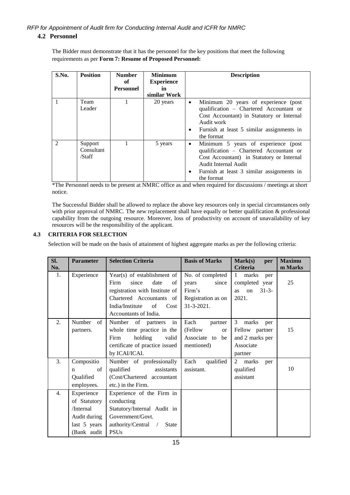The Bidder must demonstrate that it has the personnel for the key positions that meet the following requirements as per **[Form 7: Resume of Proposed Personnel:](#page-37-0)**

| S.No. | <b>Position</b>                 | <b>Number</b><br>of<br><b>Personnel</b> | <b>Minimum</b><br><b>Experience</b><br>in<br>similar Work | <b>Description</b>                                                                                                                                                                                                               |
|-------|---------------------------------|-----------------------------------------|-----------------------------------------------------------|----------------------------------------------------------------------------------------------------------------------------------------------------------------------------------------------------------------------------------|
|       | Team<br>Leader                  |                                         | 20 years                                                  | Minimum 20 years of experience (post<br>$\bullet$<br>qualification – Chartered Accountant or<br>Cost Accountant) in Statutory or Internal<br>Audit work<br>Furnish at least 5 similar assignments in<br>٠<br>the format          |
|       | Support<br>Consultant<br>/Staff |                                         | 5 years                                                   | Minimum 5 years of experience (post<br>$\bullet$<br>qualification - Chartered Accountant or<br>Cost Accountant) in Statutory or Internal<br>Audit Internal Audit<br>Furnish at least 3 similar assignments in<br>٠<br>the format |

\*The Personnel needs to be present at NMRC office as and when required for discussions / meetings at short notice.

<span id="page-14-0"></span>The Successful Bidder shall be allowed to replace the above key resources only in special circumstances only with prior approval of NMRC. The new replacement shall have equally or better qualification & professional capability from the outgoing resource. Moreover, loss of productivity on account of unavailability of key resources will be the responsibility of the applicant.

## **4.3 CRITERIA FOR SELECTION**

Selection will be made on the basis of attainment of highest aggregate marks as per the following criteria:

| Sl.<br>No.       | <b>Parameter</b>                                                                       | <b>Selection Criteria</b>                                                                                                                                                                  | <b>Basis of Marks</b>                                                                   | Mark(s)<br>per<br><b>Criteria</b>                                                      | <b>Maximu</b><br>m Marks |
|------------------|----------------------------------------------------------------------------------------|--------------------------------------------------------------------------------------------------------------------------------------------------------------------------------------------|-----------------------------------------------------------------------------------------|----------------------------------------------------------------------------------------|--------------------------|
| 1.               | Experience                                                                             | Year(s) of establishment of<br>since<br>Firm<br>date<br>of<br>registration with Institute of<br>Chartered Accountants of<br>India/Institute<br>$\sigma$ f<br>Cost<br>Accountants of India. | No. of completed<br>since<br>years<br>Firm's<br>Registration as on<br>$31 - 3 - 2021$ . | 1<br>marks<br>per<br>completed year<br>$31 - 3 -$<br>$_{\rm on}$<br><b>as</b><br>2021. | 25                       |
| 2.               | Number<br>of<br>partners.                                                              | Number of partners<br>in<br>whole time practice in the<br>holding<br>Firm<br>valid<br>certificate of practice issued<br>by ICAI/ICAI.                                                      | Each<br>partner<br>(Fellow<br><sub>or</sub><br>Associate to<br>be<br>mentioned)         | 3<br>marks<br>per<br>Fellow partner<br>and 2 marks per<br>Associate<br>partner         | 15                       |
| 3.               | Compositio<br>of<br>n<br>Qualified<br>employees.                                       | Number of professionally<br>qualified<br>assistants<br>(Cost/Chartered accountant<br>etc.) in the Firm.                                                                                    | Each<br>qualified<br>assistant.                                                         | $\overline{2}$<br>marks<br>per<br>qualified<br>assistant                               | 10                       |
| $\overline{4}$ . | Experience<br>of Statutory<br>/Internal<br>Audit during<br>last 5 years<br>(Bank audit | Experience of the Firm in<br>conducting<br>Statutory/Internal Audit in<br>Government/Govt.<br>authority/Central /<br><b>State</b><br><b>PSUs</b>                                           |                                                                                         |                                                                                        |                          |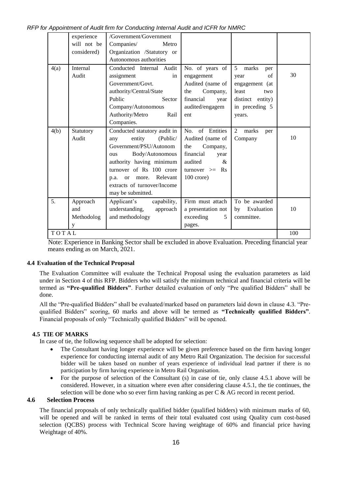*RFP for Appointment of Audit firm for Conducting Internal Audit and ICFR for NMRC*

|       | experience<br>/Government/Government |                              |                    |                                |     |
|-------|--------------------------------------|------------------------------|--------------------|--------------------------------|-----|
|       | will not be                          | Companies/<br>Metro          |                    |                                |     |
|       | considered)                          | Organization /Statutory or   |                    |                                |     |
|       |                                      | Autonomous authorities       |                    |                                |     |
| 4(a)  | Internal                             | Conducted Internal Audit     | No. of years of    | $\mathfrak{S}$<br>marks<br>per |     |
|       | Audit                                | assignment<br>in             | engagement         | of<br>year                     | 30  |
|       |                                      | Government/Govt.             | Audited (name of   | engagement (at                 |     |
|       |                                      | authority/Central/State      | the<br>Company,    | least<br>two                   |     |
|       |                                      | Public<br>Sector             | financial<br>year  | distinct entity)               |     |
|       |                                      | Company/Autonomous           | audited/engagem    | in preceding 5                 |     |
|       |                                      | Authority/Metro<br>Rail      | ent                | years.                         |     |
|       |                                      | Companies.                   |                    |                                |     |
| 4(b)  | Statutory                            | Conducted statutory audit in | of Entities<br>No. | 2<br>marks<br>per              |     |
|       | Audit                                | entity (Public/<br>any       | Audited (name of   | Company                        | 10  |
|       |                                      | Government/PSU/Autonom       | Company,<br>the    |                                |     |
|       |                                      | Body/Autonomous<br>ous       | financial<br>year  |                                |     |
|       |                                      | authority having minimum     | audited<br>$\&$    |                                |     |
|       |                                      | turnover of Rs 100 crore     | turnover $>=$ Rs   |                                |     |
|       |                                      | or more. Relevant<br>p.a.    | $100$ crore)       |                                |     |
|       |                                      | extracts of turnover/Income  |                    |                                |     |
|       |                                      | may be submitted.            |                    |                                |     |
| 5.    | Approach                             | Applicant's capability,      | Firm must attach   | To be awarded                  |     |
|       | and                                  | understanding,<br>approach   | a presentation not | by Evaluation                  | 10  |
|       | Methodolog                           | and methodology              | exceeding<br>5     | committee.                     |     |
|       | y                                    |                              | pages.             |                                |     |
| TOTAL |                                      |                              |                    |                                | 100 |

Note: Experience in Banking Sector shall be excluded in above Evaluation. Preceding financial year means ending as on March, 2021.

## **4.4 Evaluation of the Technical Proposal**

The Evaluation Committee will evaluate the Technical Proposal using the evaluation parameters as laid under in Section 4 of this RFP. Bidders who will satisfy the minimum technical and financial criteria will be termed as **"Pre-qualified Bidders"**. Further detailed evaluation of only "Pre qualified Bidders" shall be done.

All the "Pre-qualified Bidders" shall be evaluated/marked based on parameters laid down in clause 4.3. "Prequalified Bidders" scoring, 60 marks and above will be termed as **"Technically qualified Bidders"**. Financial proposals of only "Technically qualified Bidders" will be opened.

## **4.5 TIE OF MARKS**

In case of tie, the following sequence shall be adopted for selection:

- The Consultant having longer experience will be given preference based on the firm having longer experience for conducting internal audit of any Metro Rail Organization. The decision for successful bidder will be taken based on number of years experience of individual lead partner if there is no participation by firm having experience in Metro Rail Organisation.
- For the purpose of selection of the Consultant (s) in case of tie, only clause 4.5.1 above will be considered. However, in a situation where even after considering clause 4.5.1, the tie continues, the selection will be done who so ever firm having ranking as per  $C \& AG$  record in recent period.

# **4.6 Selection Process**

The financial proposals of only technically qualified bidder (qualified bidders) with minimum marks of 60, will be opened and will be ranked in terms of their total evaluated cost using Quality cum cost-based selection (QCBS) process with Technical Score having weightage of 60% and financial price having Weightage of 40%.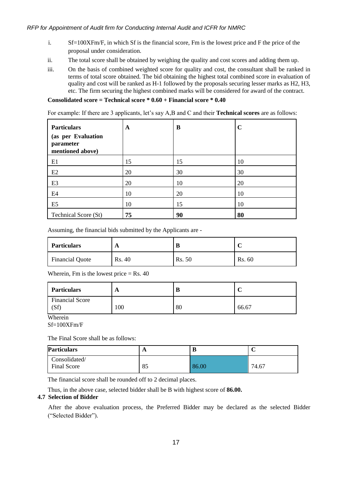- i. Sf=100XFm/F, in which Sf is the financial score, Fm is the lowest price and F the price of the proposal under consideration.
- ii. The total score shall be obtained by weighing the quality and cost scores and adding them up.
- iii. On the basis of combined weighted score for quality and cost, the consultant shall be ranked in terms of total score obtained. The bid obtaining the highest total combined score in evaluation of quality and cost will be ranked as H-1 followed by the proposals securing lesser marks as H2, H3, etc. The firm securing the highest combined marks will be considered for award of the contract.

# **Consolidated score = Technical score \* 0.60 + Financial score \* 0.40**

For example: If there are 3 applicants, let's say A,B and C and their **Technical scores** are as follows:

| <b>Particulars</b><br>(as per Evaluation<br>parameter<br>mentioned above) | A  | B  | C  |
|---------------------------------------------------------------------------|----|----|----|
| E1                                                                        | 15 | 15 | 10 |
| E2                                                                        | 20 | 30 | 30 |
| E <sub>3</sub>                                                            | 20 | 10 | 20 |
| E4                                                                        | 10 | 20 | 10 |
| E <sub>5</sub>                                                            | 10 | 15 | 10 |
| Technical Score (St)                                                      | 75 | 90 | 80 |

Assuming, the financial bids submitted by the Applicants are -

| <b>Particulars</b>     | A      | D      |        |
|------------------------|--------|--------|--------|
| <b>Financial Quote</b> | Rs. 40 | Rs. 50 | Rs. 60 |

Wherein, Fm is the lowest price  $=$  Rs. 40

| <b>Particulars</b>            | A   |    | ◡     |
|-------------------------------|-----|----|-------|
| <b>Financial Score</b><br>(Sf | 100 | 80 | 66.67 |

Wherein

Sf=100XFm/F

The Final Score shall be as follows:

| <b>Particulars</b>                  | $\mathbf{A}$ |       | ◡     |
|-------------------------------------|--------------|-------|-------|
| Consolidated/<br><b>Final Score</b> | 85           | 86.00 | 74.67 |

The financial score shall be rounded off to 2 decimal places.

Thus, in the above case, selected bidder shall be B with highest score of **86.00.**

# **4.7 Selection of Bidder**

After the above evaluation process, the Preferred Bidder may be declared as the selected Bidder ("Selected Bidder").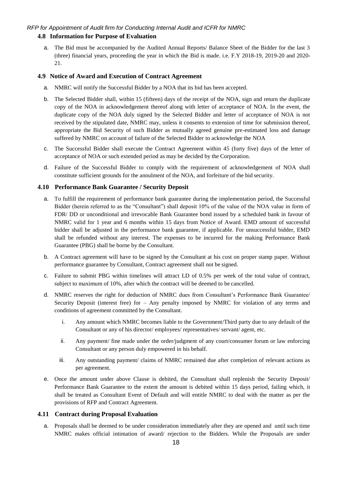# <span id="page-17-0"></span>**4.8 Information for Purpose of Evaluation**

a. The Bid must be accompanied by the Audited Annual Reports/ Balance Sheet of the Bidder for the last 3 (three) financial years, proceeding the year in which the Bid is made. i.e. F.Y 2018-19, 2019-20 and 2020- 21.

#### <span id="page-17-1"></span>**4.9 Notice of Award and Execution of Contract Agreement**

- a. NMRC will notify the Successful Bidder by a NOA that its bid has been accepted.
- b. The Selected Bidder shall, within 15 (fifteen) days of the receipt of the NOA, sign and return the duplicate copy of the NOA in acknowledgement thereof along with letter of acceptance of NOA. In the event, the duplicate copy of the NOA duly signed by the Selected Bidder and letter of acceptance of NOA is not received by the stipulated date, NMRC may, unless it consents to extension of time for submission thereof, appropriate the Bid Security of such Bidder as mutually agreed genuine pre-estimated loss and damage suffered by NMRC on account of failure of the Selected Bidder to acknowledge the NOA
- c. The Successful Bidder shall execute the Contract Agreement within 45 (forty five) days of the letter of acceptance of NOA or such extended period as may be decided by the Corporation.
- d. Failure of the Successful Bidder to comply with the requirement of acknowledgement of NOA shall constitute sufficient grounds for the annulment of the NOA, and forfeiture of the bid security.

## <span id="page-17-2"></span>**4.10 Performance Bank Guarantee / Security Deposit**

- a. To fulfill the requirement of performance bank guarantee during the implementation period, the Successful Bidder (herein referred to as the "Consultant") shall deposit 10% of the value of the NOA value in form of FDR/ DD or unconditional and irrevocable Bank Guarantee bond issued by a scheduled bank in favour of NMRC valid for 1 year and 6 months within 15 days from Notice of Award. EMD amount of successful bidder shall be adjusted in the performance bank guarantee, if applicable. For unsuccessful bidder, EMD shall be refunded without any interest. The expenses to be incurred for the making Performance Bank Guarantee (PBG) shall be borne by the Consultant.
- b. A Contract agreement will have to be signed by the Consultant at his cost on proper stamp paper. Without performance guarantee by Consultant, Contract agreement shall not be signed.
- c. Failure to submit PBG within timelines will attract LD of 0.5% per week of the total value of contract, subject to maximum of 10%, after which the contract will be deemed to be cancelled.
- d. NMRC reserves the right for deduction of NMRC dues from Consultant's Performance Bank Guarantee/ Security Deposit (interest free) for – Any penalty imposed by NMRC for violation of any terms and conditions of agreement committed by the Consultant.
	- i. Any amount which NMRC becomes liable to the Government/Third party due to any default of the Consultant or any of his director/ employees/ representatives/ servant/ agent, etc.
	- ii. Any payment/ fine made under the order/judgment of any court/consumer forum or law enforcing Consultant or any person duly empowered in his behalf.
	- iii. Any outstanding payment/ claims of NMRC remained due after completion of relevant actions as per agreement.
- e. Once the amount under above Clause is debited, the Consultant shall replenish the Security Deposit/ Performance Bank Guarantee to the extent the amount is debited within 15 days period, failing which, it shall be treated as Consultant Event of Default and will entitle NMRC to deal with the matter as per the provisions of RFP and Contract Agreement.

#### <span id="page-17-3"></span>**4.11 Contract during Proposal Evaluation**

a. Proposals shall be deemed to be under consideration immediately after they are opened and until such time NMRC makes official intimation of award/ rejection to the Bidders. While the Proposals are under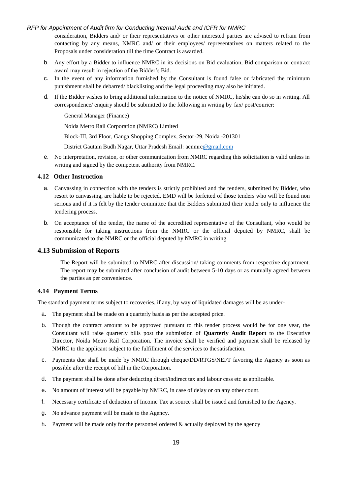consideration, Bidders and/ or their representatives or other interested parties are advised to refrain from contacting by any means, NMRC and/ or their employees/ representatives on matters related to the Proposals under consideration till the time Contract is awarded.

- b. Any effort by a Bidder to influence NMRC in its decisions on Bid evaluation, Bid comparison or contract award may result in rejection of the Bidder's Bid.
- c. In the event of any information furnished by the Consultant is found false or fabricated the minimum punishment shall be debarred/ blacklisting and the legal proceeding may also be initiated.
- d. If the Bidder wishes to bring additional information to the notice of NMRC, he/she can do so in writing. All correspondence/ enquiry should be submitted to the following in writing by fax/ post/courier:

General Manager (Finance)

Noida Metro Rail Corporation (NMRC) Limited

Block-III, 3rd Floor, Ganga Shopping Complex, Sector-29, Noida -201301

District Gautam Budh Nagar, Uttar Pradesh Email: acnmr[c@gmail.com](mailto:nmrcnoida@gmail.com)

e. No interpretation, revision, or other communication from NMRC regarding this solicitation is valid unless in writing and signed by the competent authority from NMRC.

## <span id="page-18-0"></span>**4.12 Other Instruction**

- a. Canvassing in connection with the tenders is strictly prohibited and the tenders, submitted by Bidder, who resort to canvassing, are liable to be rejected. EMD will be forfeited of those tenders who will be found non serious and if it is felt by the tender committee that the Bidders submitted their tender only to influence the tendering process.
- b. On acceptance of the tender, the name of the accredited representative of the Consultant, who would be responsible for taking instructions from the NMRC or the official deputed by NMRC, shall be communicated to the NMRC or the official deputed by NMRC in writing.

#### **4.13 Submission of Reports**

The Report will be submitted to NMRC after discussion/ taking comments from respective department. The report may be submitted after conclusion of audit between 5-10 days or as mutually agreed between the parties as per convenience.

#### <span id="page-18-1"></span>**4.14 Payment Terms**

The standard payment terms subject to recoveries, if any, by way of liquidated damages will be as under-

- a. The payment shall be made on a quarterly basis as per the accepted price.
- b. Though the contract amount to be approved pursuant to this tender process would be for one year, the Consultant will raise quarterly bills post the submission of **Quarterly Audit Report** to the Executive Director, Noida Metro Rail Corporation. The invoice shall be verified and payment shall be released by NMRC to the applicant subject to the fulfillment of the services to the satisfaction.
- c. Payments due shall be made by NMRC through cheque/DD/RTGS/NEFT favoring the Agency as soon as possible after the receipt of bill in the Corporation.
- d. The payment shall be done after deducting direct/indirect tax and labour cess etc as applicable.
- e. No amount of interest will be payable by NMRC, in case of delay or on any other count.
- f. Necessary certificate of deduction of Income Tax at source shall be issued and furnished to the Agency.
- g. No advance payment will be made to the Agency.
- h. Payment will be made only for the personnel ordered  $&$  actually deployed by the agency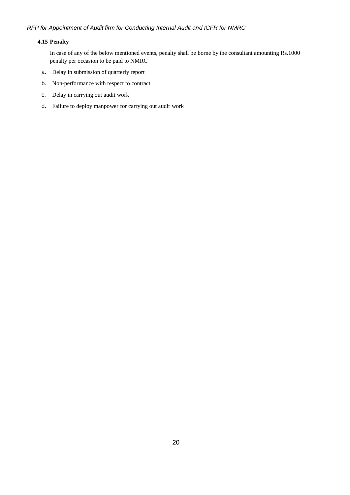## **4.15 Penalty**

In case of any of the below mentioned events, penalty shall be borne by the consultant amounting Rs.1000 penalty per occasion to be paid to NMRC

- a. Delay in submission of quarterly report
- b. Non-performance with respect to contract
- c. Delay in carrying out audit work
- d. Failure to deploy manpower for carrying out audit work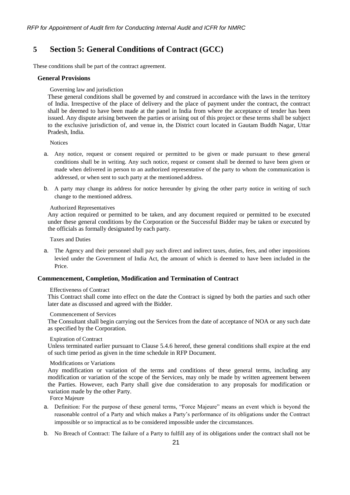# <span id="page-20-0"></span>**5 Section 5: General Conditions of Contract (GCC)**

<span id="page-20-1"></span>These conditions shall be part of the contract agreement.

#### **General Provisions**

Governing law and jurisdiction

These general conditions shall be governed by and construed in accordance with the laws in the territory of India. Irrespective of the place of delivery and the place of payment under the contract, the contract shall be deemed to have been made at the panel in India from where the acceptance of tender has been issued. Any dispute arising between the parties or arising out of this project or these terms shall be subject to the exclusive jurisdiction of, and venue in, the District court located in Gautam Buddh Nagar, Uttar Pradesh, India.

Notices

- a. Any notice, request or consent required or permitted to be given or made pursuant to these general conditions shall be in writing. Any such notice, request or consent shall be deemed to have been given or made when delivered in person to an authorized representative of the party to whom the communication is addressed, or when sent to such party at the mentioned address.
- b. A party may change its address for notice hereunder by giving the other party notice in writing of such change to the mentioned address.

#### Authorized Representatives

Any action required or permitted to be taken, and any document required or permitted to be executed under these general conditions by the Corporation or the Successful Bidder may be taken or executed by the officials as formally designated by each party.

Taxes and Duties

a. The Agency and their personnel shall pay such direct and indirect taxes, duties, fees, and other impositions levied under the Government of India Act, the amount of which is deemed to have been included in the Price.

#### <span id="page-20-2"></span>**Commencement, Completion, Modification and Termination of Contract**

#### Effectiveness of Contract

This Contract shall come into effect on the date the Contract is signed by both the parties and such other later date as discussed and agreed with the Bidder.

#### Commencement of Services

The Consultant shall begin carrying out the Services from the date of acceptance of NOA or any such date as specified by the Corporation.

## Expiration of Contract

Unless terminated earlier pursuant to Clause [5.4.6 h](#page-21-0)ereof, these general conditions shall expire at the end of such time period as given in the time schedule in RFP Document.

#### Modifications or Variations

Any modification or variation of the terms and conditions of these general terms, including any modification or variation of the scope of the Services, may only be made by written agreement between the Parties. However, each Party shall give due consideration to any proposals for modification or variation made by the other Party.

Force Majeure

- a. Definition: For the purpose of these general terms, "Force Majeure" means an event which is beyond the reasonable control of a Party and which makes a Party's performance of its obligations under the Contract impossible or so impractical as to be considered impossible under the circumstances.
- b. No Breach of Contract: The failure of a Party to fulfill any of its obligations under the contract shall not be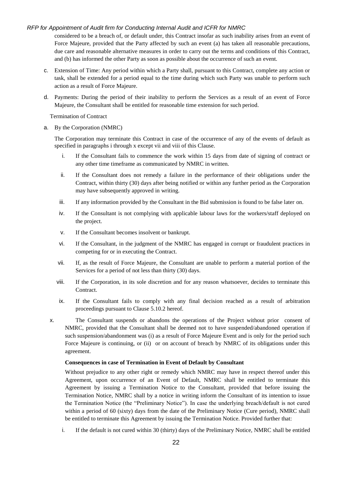considered to be a breach of, or default under, this Contract insofar as such inability arises from an event of Force Majeure, provided that the Party affected by such an event (a) has taken all reasonable precautions, due care and reasonable alternative measures in order to carry out the terms and conditions of this Contract, and (b) has informed the other Party as soon as possible about the occurrence of such an event.

- c. Extension of Time: Any period within which a Party shall, pursuant to this Contract, complete any action or task, shall be extended for a period equal to the time during which such Party was unable to perform such action as a result of Force Majeure.
- d. Payments: During the period of their inability to perform the Services as a result of an event of Force Majeure, the Consultant shall be entitled for reasonable time extension for such period.

Termination of Contract

<span id="page-21-7"></span><span id="page-21-1"></span><span id="page-21-0"></span>a. By the Corporation (NMRC)

The Corporation may terminate this Contract in case of the occurrence of any of the events of default as specified in paragraphs [i t](#page-21-1)hrough [x e](#page-21-2)xcept [vii a](#page-21-3)nd [viii o](#page-21-4)f this Clause.

- i. If the Consultant fails to commence the work within 15 days from date of signing of contract or any other time timeframe as communicated by NMRC in written.
- ii. If the Consultant does not remedy a failure in the performance of their obligations under the Contract, within thirty (30) days after being notified or within any further period as the Corporation may have subsequently approved in writing.
- iii. If any information provided by the Consultant in the Bid submission is found to be false later on.
- iv. If the Consultant is not complying with applicable labour laws for the workers/staff deployed on the project.
- v. If the Consultant becomes insolvent or bankrupt.
- <span id="page-21-5"></span>vi. If the Consultant, in the judgment of the NMRC has engaged in corrupt or fraudulent practices in competing for or in executing the Contract.
- <span id="page-21-3"></span>vii. If, as the result of Force Majeure, the Consultant are unable to perform a material portion of the Services for a period of not less than thirty (30) days.
- <span id="page-21-4"></span>viii. If the Corporation, in its sole discretion and for any reason whatsoever, decides to terminate this Contract.
- <span id="page-21-6"></span>ix. If the Consultant fails to comply with any final decision reached as a result of arbitration proceedings pursuant to Clause [5.10.2](#page-24-2) hereof.
- <span id="page-21-2"></span>x. The Consultant suspends or abandons the operations of the Project without prior consent of NMRC, provided that the Consultant shall be deemed not to have suspended/abandoned operation if such suspension/abandonment was (i) as a result of Force Majeure Event and is only for the period such Force Majeure is continuing, or (ii) or on account of breach by NMRC of its obligations under this agreement.

#### **Consequences in case of Termination in Event of Default by Consultant**

Without prejudice to any other right or remedy which NMRC may have in respect thereof under this Agreement, upon occurrence of an Event of Default, NMRC shall be entitled to terminate this Agreement by issuing a Termination Notice to the Consultant, provided that before issuing the Termination Notice, NMRC shall by a notice in writing inform the Consultant of its intention to issue the Termination Notice (the "Preliminary Notice"). In case the underlying breach/default is not cured within a period of 60 (sixty) days from the date of the Preliminary Notice (Cure period), NMRC shall be entitled to terminate this Agreement by issuing the Termination Notice. Provided further that:

i. If the default is not cured within 30 (thirty) days of the Preliminary Notice, NMRC shall be entitled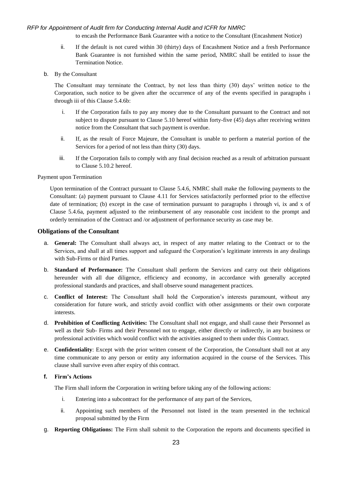to encash the Performance Bank Guarantee with a notice to the Consultant (Encashment Notice)

- ii. If the default is not cured within 30 (thirty) days of Encashment Notice and a fresh Performance Bank Guarantee is not furnished within the same period, NMRC shall be entitled to issue the Termination Notice.
- <span id="page-22-3"></span>b. By the Consultant

The Consultant may terminate the Contract, by not less than thirty (30) days' written notice to the Corporation, such notice to be given after the occurrence of any of the events specified in paragraphs [i](#page-22-1)  through [iii o](#page-22-2)f this Clause [5.4.6](#page-21-0)[b:](#page-22-3)

- <span id="page-22-1"></span>i. If the Corporation fails to pay any money due to the Consultant pursuant to the Contract and not subject to dispute pursuant to Clause [5.10 h](#page-24-0)ereof within forty-five (45) days after receiving written notice from the Consultant that such payment is overdue.
- ii. If, as the result of Force Majeure, the Consultant is unable to perform a material portion of the Services for a period of not less than thirty (30) days.
- iii. If the Corporation fails to comply with any final decision reached as a result of arbitration pursuant to Clause [5.10.2](#page-24-2) hereof.

<span id="page-22-2"></span>Payment upon Termination

Upon termination of the Contract pursuant to Clause [5.4.6,](#page-21-0) NMRC shall make the following payments to the Consultant: (a) payment pursuant to Clause [4.11](#page-18-1) for Services satisfactorily performed prior to the effective date of termination; (b) except in the case of termination pursuant to paragraphs [i t](#page-21-1)hrough [vi,](#page-21-5) [ix a](#page-21-6)nd [x o](#page-21-2)f Clause [5.4.6](#page-21-0)[a, p](#page-21-7)ayment adjusted to the reimbursement of any reasonable cost incident to the prompt and orderly termination of the Contract and /or adjustment of performance security as case may be.

#### <span id="page-22-0"></span>**Obligations of the Consultant**

- a. **General:** The Consultant shall always act, in respect of any matter relating to the Contract or to the Services, and shall at all times support and safeguard the Corporation's legitimate interests in any dealings with Sub-Firms or third Parties.
- b. **Standard of Performance:** The Consultant shall perform the Services and carry out their obligations hereunder with all due diligence, efficiency and economy, in accordance with generally accepted professional standards and practices, and shall observe sound management practices.
- c. **Conflict of Interest:** The Consultant shall hold the Corporation's interests paramount, without any consideration for future work, and strictly avoid conflict with other assignments or their own corporate interests.
- d. **Prohibition of Conflicting Activities:** The Consultant shall not engage, and shall cause their Personnel as well as their Sub- Firms and their Personnel not to engage, either directly or indirectly, in any business or professional activities which would conflict with the activities assigned to them under this Contract.
- e. **Confidentiality**: Except with the prior written consent of the Corporation, the Consultant shall not at any time communicate to any person or entity any information acquired in the course of the Services. This clause shall survive even after expiry of this contract.

#### **f. Firm's Actions**

The Firm shall inform the Corporation in writing before taking any of the following actions:

- i. Entering into a subcontract for the performance of any part of the Services,
- ii. Appointing such members of the Personnel not listed in the team presented in the technical proposal submitted by the Firm
- g. **Reporting Obligations:** The Firm shall submit to the Corporation the reports and documents specified in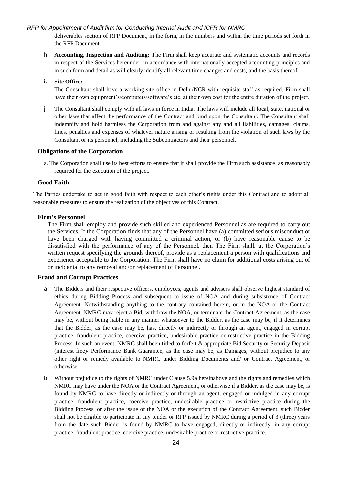deliverables section of RFP Document, in the form, in the numbers and within the time periods set forth in the RFP Document.

h. **Accounting, Inspection and Auditing:** The Firm shall keep accurate and systematic accounts and records in respect of the Services hereunder, in accordance with internationally accepted accounting principles and in such form and detail as will clearly identify all relevant time changes and costs, and the basis thereof.

#### **i. Site Office:**

The Consultant shall have a working site office in Delhi/NCR with requisite staff as required. Firm shall have their own equipment's/computers/software's etc. at their own cost for the entire duration of the project.

j. The Consultant shall comply with all laws in force in India. The laws will include all local, state, national or other laws that affect the performance of the Contract and bind upon the Consultant. The Consultant shall indemnify and hold harmless the Corporation from and against any and all liabilities, damages, claims, fines, penalties and expenses of whatever nature arising or resulting from the violation of such laws by the Consultant or its personnel, including the Subcontractors and their personnel.

#### <span id="page-23-0"></span>**Obligations of the Corporation**

a. The Corporation shall use its best efforts to ensure that it shall provide the Firm such assistance as reasonably required for the execution of the project.

#### <span id="page-23-1"></span>**Good Faith**

The Parties undertake to act in good faith with respect to each other's rights under this Contract and to adopt all reasonable measures to ensure the realization of the objectives of this Contract.

#### <span id="page-23-2"></span>**Firm's Personnel**

The Firm shall employ and provide such skilled and experienced Personnel as are required to carry out the Services. If the Corporation finds that any of the Personnel have (a) committed serious misconduct or have been charged with having committed a criminal action, or (b) have reasonable cause to be dissatisfied with the performance of any of the Personnel, then The Firm shall, at the Corporation's written request specifying the grounds thereof, provide as a replacement a person with qualifications and experience acceptable to the Corporation. The Firm shall have no claim for additional costs arising out of or incidental to any removal and/or replacement of Personnel.

#### <span id="page-23-4"></span><span id="page-23-3"></span>**Fraud and Corrupt Practices**

- a. The Bidders and their respective officers, employees, agents and advisers shall observe highest standard of ethics during Bidding Process and subsequent to issue of NOA and during subsistence of Contract Agreement. Notwithstanding anything to the contrary contained herein, or in the NOA or the Contract Agreement, NMRC may reject a Bid, withdraw the NOA, or terminate the Contract Agreement, as the case may be, without being liable in any manner whatsoever to the Bidder, as the case may be, if it determines that the Bidder, as the case may be, has, directly or indirectly or through an agent, engaged in corrupt practice, fraudulent practice, coercive practice, undesirable practice or restrictive practice in the Bidding Process. In such an event, NMRC shall been titled to forfeit & appropriate Bid Security or Security Deposit (interest free)/ Performance Bank Guarantee, as the case may be, as Damages, without prejudice to any other right or remedy available to NMRC under Bidding Documents and/ or Contract Agreement, or otherwise.
- b. Without prejudice to the rights of NMRC under Clause [5.9](#page-23-3)[a](#page-23-4) hereinabove and the rights and remedies which NMRC may have under the NOA or the Contract Agreement, or otherwise if a Bidder, as the case may be, is found by NMRC to have directly or indirectly or through an agent, engaged or indulged in any corrupt practice, fraudulent practice, coercive practice, undesirable practice or restrictive practice during the Bidding Process, or after the issue of the NOA or the execution of the Contract Agreement, such Bidder shall not be eligible to participate in any tender or RFP issued by NMRC during a period of 3 (three) years from the date such Bidder is found by NMRC to have engaged, directly or indirectly, in any corrupt practice, fraudulent practice, coercive practice, undesirable practice or restrictive practice.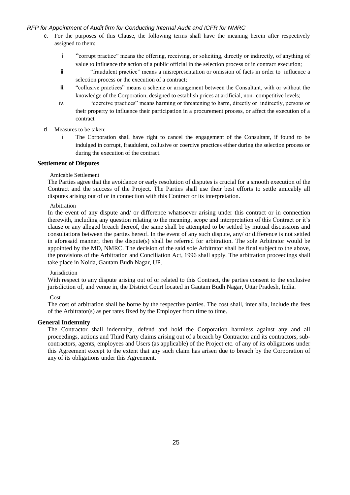- c. For the purposes of this Clause, the following terms shall have the meaning herein after respectively assigned to them:
	- i. "corrupt practice" means the offering, receiving, or soliciting, directly or indirectly, of anything of value to influence the action of a public official in the selection process or in contract execution;
	- ii. "fraudulent practice" means a misrepresentation or omission of facts in order to influence a selection process or the execution of a contract;
	- iii. "collusive practices" means a scheme or arrangement between the Consultant, with or without the knowledge of the Corporation, designed to establish prices at artificial, non- competitive levels;
	- iv. "coercive practices" means harming or threatening to harm, directly or indirectly, persons or their property to influence their participation in a procurement process, or affect the execution of a contract
- d. Measures to be taken:
	- i. The Corporation shall have right to cancel the engagement of the Consultant, if found to be indulged in corrupt, fraudulent, collusive or coercive practices either during the selection process or during the execution of the contract.

#### <span id="page-24-0"></span>**Settlement of Disputes**

#### Amicable Settlement

The Parties agree that the avoidance or early resolution of disputes is crucial for a smooth execution of the Contract and the success of the Project. The Parties shall use their best efforts to settle amicably all disputes arising out of or in connection with this Contract or its interpretation.

#### <span id="page-24-2"></span>Arbitration

In the event of any dispute and/ or difference whatsoever arising under this contract or in connection therewith, including any question relating to the meaning, scope and interpretation of this Contract or it's clause or any alleged breach thereof, the same shall be attempted to be settled by mutual discussions and consultations between the parties hereof. In the event of any such dispute, any/ or difference is not settled in aforesaid manner, then the dispute(s) shall be referred for arbitration. The sole Arbitrator would be appointed by the MD, NMRC. The decision of the said sole Arbitrator shall be final subject to the above, the provisions of the Arbitration and Conciliation Act, 1996 shall apply. The arbitration proceedings shall take place in Noida, Gautam Budh Nagar, UP.

#### Jurisdiction

With respect to any dispute arising out of or related to this Contract, the parties consent to the exclusive jurisdiction of, and venue in, the District Court located in Gautam Budh Nagar, Uttar Pradesh, India.

#### Cost

The cost of arbitration shall be borne by the respective parties. The cost shall, inter alia, include the fees of the Arbitrator(s) as per rates fixed by the Employer from time to time.

#### <span id="page-24-1"></span>**General Indemnity**

The Contractor shall indemnify, defend and hold the Corporation harmless against any and all proceedings, actions and Third Party claims arising out of a breach by Contractor and its contractors, subcontractors, agents, employees and Users (as applicable) of the Project etc. of any of its obligations under this Agreement except to the extent that any such claim has arisen due to breach by the Corporation of any of its obligations under this Agreement.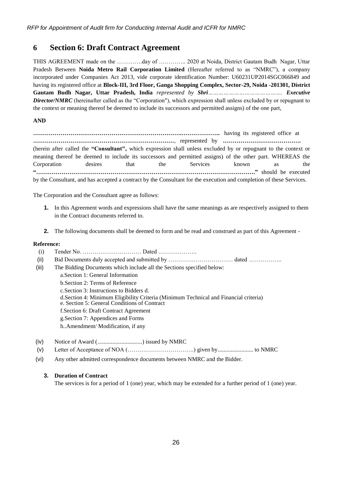# **6 Section 6: Draft Contract Agreement**

THIS AGREEMENT made on the ………….day of ………….. 2020 at Noida, District Gautam Budh Nagar, Uttar Pradesh Between **Noida Metro Rail Corporation Limited** (Hereafter referred to as "NMRC"), a company incorporated under Companies Act 2013, vide corporate identification Number: U60231UP2014SGC066849 and having its registered office at **Block-III, 3rd Floor, Ganga Shopping Complex, Sector-29, Noida -201301, District Gautam Budh Nagar, Uttar Pradesh, India** *represented by Shri……………………………………. Executive Director/NMRC* (hereinafter called as the "Corporation"), which expression shall unless excluded by or repugnant to the context or meaning thereof be deemed to include its successors and permitted assigns) of the one part,

#### **AND**

**………………………………………………………………….………………..** having its registered office at **………………………………………………………………**, represented by **………………………………….** (herein after called the **"Consultant",** which expression shall unless excluded by or repugnant to the context or meaning thereof be deemed to include its successors and permitted assigns) of the other part. WHEREAS the Corporation desires that the Services known as the **"…………………………………………………………………………………………………."** should be executed by the Consultant, and has accepted a contract by the Consultant for the execution and completion of these Services.

The Corporation and the Consultant agree as follows:

- **1.** In this Agreement words and expressions shall have the same meanings as are respectively assigned to them in the Contract documents referred to.
- **2.** The following documents shall be deemed to form and be read and construed as part of this Agreement -

#### **Reference:**

- (i) Tender No. ………………………… Dated ………………..
- (ii) Bid Documents duly accepted and submitted by …………………………………………………………………………………
- (iii) The Bidding Documents which include all the Sections specified below:
	- [a.Section 1: General](#page-5-0) Information
	- b[.Section 2: Terms of](#page-6-0) Reference
	- [c.Section 3: Instructions to Bidders](#page-10-0) d.
	- [d.Section 4: Minimum Eligibility Criteria \(](#page-12-1)Minimum Technical and Financial criteria)
	- e. [Section 5: General Conditions o](#page-20-0)f Contract
	- f.Section 6: Draft Contract Agreement
	- g[.Section 7: Appendices and Forms](#page-29-0)
	- h..Amendment/ Modification, if any
- (iv) Notice of Award (..............................) issued by NMRC
- (v) Letter of Acceptance of NOA (…………………………….) given by........................ to NMRC
- (vi) Any other admitted correspondence documents between NMRC and the Bidder.

#### **3. Duration of Contract**

The services is for a period of 1 (one) year, which may be extended for a further period of 1 (one) year.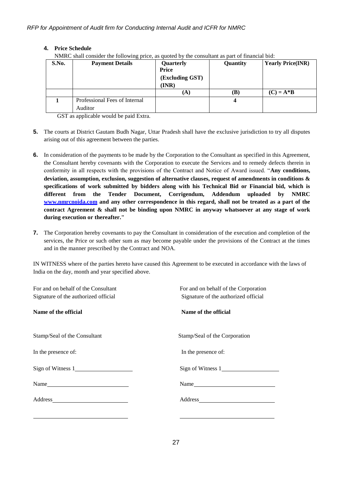# **4. Price Schedule**

NMRC shall consider the following price, as quoted by the consultant as part of financial bid:

| S.No. | $\sigma$ r<br><b>Payment Details</b>     | Quarterly<br>Price<br>(Excluding GST)<br>(INR) | <b>Quantity</b> | <b>Yearly Price(INR)</b> |
|-------|------------------------------------------|------------------------------------------------|-----------------|--------------------------|
|       |                                          | (A)                                            | (B)             | $(C) = A * B$            |
|       | Professional Fees of Internal<br>Auditor |                                                | 4               |                          |

GST as applicable would be paid Extra.

- **5.** The courts at District Gautam Budh Nagar, Uttar Pradesh shall have the exclusive jurisdiction to try all disputes arising out of this agreement between the parties.
- **6.** In consideration of the payments to be made by the Corporation to the Consultant as specified in this Agreement, the Consultant hereby covenants with the Corporation to execute the Services and to remedy defects therein in conformity in all respects with the provisions of the Contract and Notice of Award issued. "**Any conditions, deviation, assumption, exclusion, suggestion of alternative clauses, request of amendments in conditions & specifications of work submitted by bidders along with his Technical Bid or Financial bid, which is different from the Tender Document, Corrigendum, Addendum uploaded by NMRC [www.nmrcnoida.com](http://www.nmrcnoida.com/) and any other correspondence in this regard, shall not be treated as a part of the contract Agreement & shall not be binding upon NMRC in anyway whatsoever at any stage of work during execution or thereafter."**
- **7.** The Corporation hereby covenants to pay the Consultant in consideration of the execution and completion of the services, the Price or such other sum as may become payable under the provisions of the Contract at the times and in the manner prescribed by the Contract and NOA.

IN WITNESS where of the parties hereto have caused this Agreement to be executed in accordance with the laws of India on the day, month and year specified above.

| For and on behalf of the Consultant<br>Signature of the authorized official | For and on behalf of the Corporation<br>Signature of the authorized official                                                                                                                                                  |
|-----------------------------------------------------------------------------|-------------------------------------------------------------------------------------------------------------------------------------------------------------------------------------------------------------------------------|
| Name of the official                                                        | Name of the official                                                                                                                                                                                                          |
| Stamp/Seal of the Consultant                                                | Stamp/Seal of the Corporation                                                                                                                                                                                                 |
| In the presence of:                                                         | In the presence of:                                                                                                                                                                                                           |
| Sign of Witness 1                                                           | Sign of Witness 1                                                                                                                                                                                                             |
| $Name_$                                                                     | Name and the same state of the same state of the same state of the same state of the same state of the same state of the same state of the same state of the same state of the same state of the same state of the same state |
|                                                                             |                                                                                                                                                                                                                               |
|                                                                             |                                                                                                                                                                                                                               |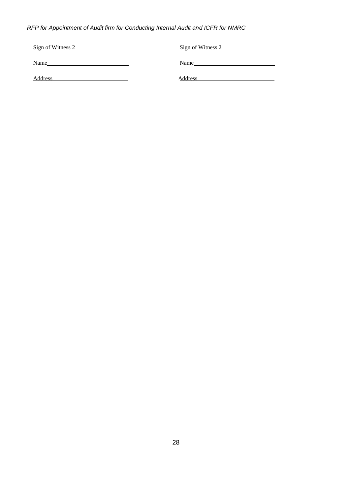| Sign of Witness 2 | Sign of Witness 2 |
|-------------------|-------------------|
|                   |                   |
| Name              | Name              |
|                   |                   |
| Address           | <b>Address</b>    |
|                   |                   |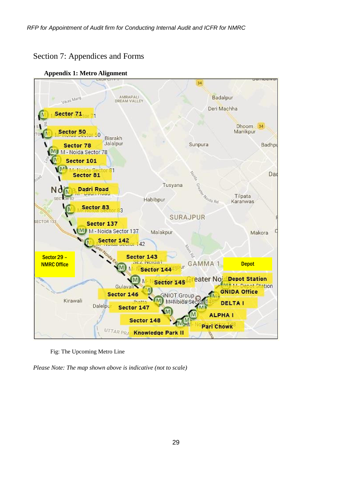# Section 7: Appendices and Forms

<span id="page-28-0"></span>**Appendix 1: Metro Alignment**



Fig: The Upcoming Metro Line

*Please Note: The map shown above is indicative (not to scale)*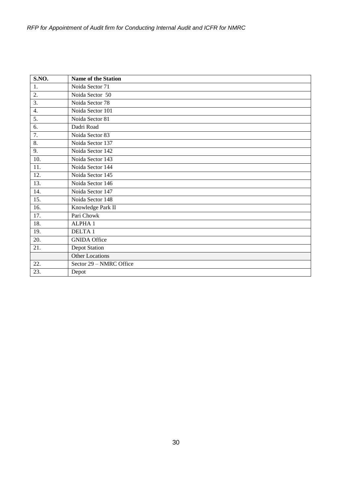<span id="page-29-0"></span>

| S.NO.             | <b>Name of the Station</b> |
|-------------------|----------------------------|
| 1.                | Noida Sector 71            |
| 2.                | Noida Sector 50            |
| 3.                | Noida Sector 78            |
| 4.                | Noida Sector 101           |
| 5.                | Noida Sector 81            |
| 6.                | Dadri Road                 |
| 7.                | Noida Sector 83            |
| 8.                | Noida Sector 137           |
| 9.                | Noida Sector 142           |
| 10.               | Noida Sector 143           |
| 11.               | Noida Sector 144           |
| 12.               | Noida Sector 145           |
| $\overline{13}$ . | Noida Sector 146           |
| 14.               | Noida Sector 147           |
| 15.               | Noida Sector 148           |
| 16.               | Knowledge Park II          |
| 17.               | Pari Chowk                 |
| 18.               | ALPHA1                     |
| 19.               | <b>DELTA1</b>              |
| 20.               | <b>GNIDA Office</b>        |
| 21.               | <b>Depot Station</b>       |
|                   | <b>Other Locations</b>     |
| 22.               | Sector 29 - NMRC Office    |
| 23.               | Depot                      |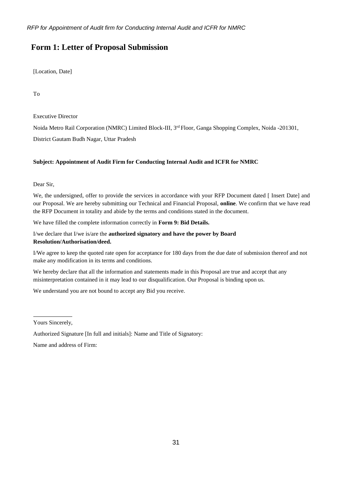# **Form 1: Letter of Proposal Submission**

[Location, Date]

To

Executive Director

Noida Metro Rail Corporation (NMRC) Limited Block-III, 3<sup>rd</sup> Floor, Ganga Shopping Complex, Noida -201301,

District Gautam Budh Nagar, Uttar Pradesh

## **Subject: Appointment of Audit Firm for Conducting Internal Audit and ICFR for NMRC**

Dear Sir,

We, the undersigned, offer to provide the services in accordance with your RFP Document dated [ Insert Date] and our Proposal. We are hereby submitting our Technical and Financial Proposal, **online**. We confirm that we have read the RFP Document in totality and abide by the terms and conditions stated in the document.

We have filled the complete information correctly in **Form 9: Bid Details.**

I/we declare that I/we is/are the **authorized signatory and have the power by Board Resolution/Authorisation/deed.**

I/We agree to keep the quoted rate open for acceptance for 180 days from the due date of submission thereof and not make any modification in its terms and conditions.

We hereby declare that all the information and statements made in this Proposal are true and accept that any misinterpretation contained in it may lead to our disqualification. Our Proposal is binding upon us.

We understand you are not bound to accept any Bid you receive.

Yours Sincerely,

Authorized Signature [In full and initials]: Name and Title of Signatory:

<span id="page-30-0"></span>Name and address of Firm: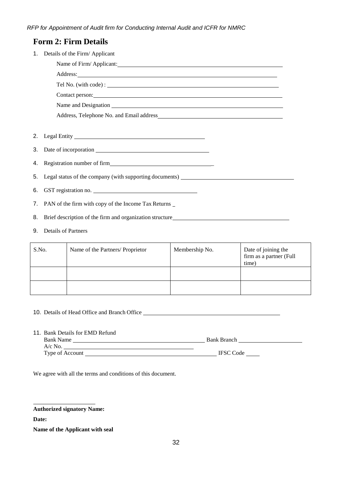|          | <b>Form 2: Firm Details</b>                                                       |
|----------|-----------------------------------------------------------------------------------|
| 1.       | Details of the Firm/Applicant                                                     |
|          | Name of Firm/ Applicant:                                                          |
|          |                                                                                   |
|          |                                                                                   |
|          |                                                                                   |
|          |                                                                                   |
|          |                                                                                   |
| 2.<br>3. |                                                                                   |
| 4.       | Registration number of firm<br><u>Example 2014</u>                                |
| 5.       | Legal status of the company (with supporting documents) _________________________ |
| 6.       | GST registration no.                                                              |
| 7.       | PAN of the firm with copy of the Income Tax Returns _                             |
| 8.       | Brief description of the firm and organization structure<br><u>Example 2016</u>   |

9. Details of Partners

| S.No. | Name of the Partners/ Proprietor | Membership No. | Date of joining the<br>firm as a partner (Full<br>time) |
|-------|----------------------------------|----------------|---------------------------------------------------------|
|       |                                  |                |                                                         |
|       |                                  |                |                                                         |

- 10. Details of Head Office and Branch Office
- 11. Bank Details for EMD Refund

| <b>Bank Name</b> | <b>Bank Branch</b> |
|------------------|--------------------|
| $A/c$ No.        |                    |
| Type of Account  | <b>IFSC</b> Code   |

We agree with all the terms and conditions of this document.

# **Authorized signatory Name:**

**Date:**

<span id="page-31-0"></span>**Name of the Applicant with seal**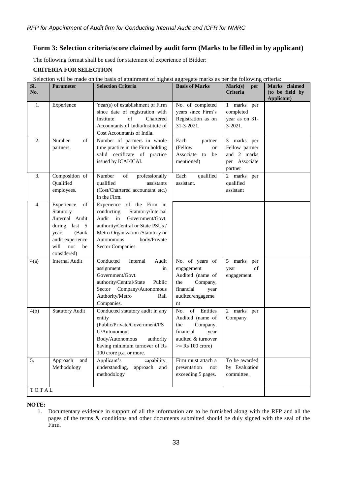# **Form 3: Selection criteria/score claimed by audit form (Marks to be filled in by applicant)**

The following format shall be used for statement of experience of Bidder:

## **CRITERIA FOR SELECTION**

| SI.<br>No. | <b>Parameter</b>                                                                                                                             | belection will be made on the basis of attainment of ingliest aggregate marks as per the following<br><b>Selection Criteria</b>                                                                                                 | <b>Basis of Marks</b>                                                                                                      | Mark(s)<br>per<br><b>Criteria</b>                                        | $\\epsilon$<br>Marks claimed<br>(to be field by<br><b>Applicant</b> ) |
|------------|----------------------------------------------------------------------------------------------------------------------------------------------|---------------------------------------------------------------------------------------------------------------------------------------------------------------------------------------------------------------------------------|----------------------------------------------------------------------------------------------------------------------------|--------------------------------------------------------------------------|-----------------------------------------------------------------------|
| 1.         | Experience                                                                                                                                   | Year(s) of establishment of Firm<br>since date of registration with<br>of<br>Institute<br>Chartered<br>Accountants of India/Institute of<br>Cost Accountants of India.                                                          | No. of completed<br>years since Firm's<br>Registration as on<br>31-3-2021.                                                 | 1 marks<br>per<br>completed<br>year as on 31-<br>$3-2021$ .              |                                                                       |
| 2.         | Number<br>οf<br>partners.                                                                                                                    | Number of partners in whole<br>time practice in the Firm holding<br>valid certificate of practice<br>issued by ICAI/ICAI.                                                                                                       | Each<br>partner<br>(Fellow<br><b>or</b><br>Associate to<br>be<br>mentioned)                                                | 3 marks per<br>Fellow partner<br>and 2 marks<br>per Associate<br>partner |                                                                       |
| 3.         | Composition of<br>Qualified<br>employees.                                                                                                    | Number<br>of<br>professionally<br>qualified<br>assistants<br>(Cost/Chartered accountant etc.)<br>in the Firm.                                                                                                                   | Each<br>qualified<br>assistant.                                                                                            | 2 marks per<br>qualified<br>assistant                                    |                                                                       |
| 4.         | Experience<br>of<br>Statutory<br>/Internal Audit<br>during last 5<br>years<br>(Bank)<br>audit experience<br>will<br>not<br>be<br>considered) | Experience of the Firm in<br>conducting<br>Statutory/Internal<br>Audit in<br>Government/Govt.<br>authority/Central or State PSUs /<br>Metro Organization /Statutory or<br>Autonomous<br>body/Private<br><b>Sector Companies</b> |                                                                                                                            |                                                                          |                                                                       |
| 4(a)       | <b>Internal Audit</b>                                                                                                                        | Conducted<br>Internal<br>Audit<br>assignment<br>in<br>Government/Govt.<br>authority/Central/State<br>Public<br>Sector Company/Autonomous<br>Authority/Metro<br>Rail<br>Companies.                                               | No. of years of<br>engagement<br>Audited (name of<br>the<br>Company,<br>financial<br>year<br>audited/engageme<br>nt        | 5 marks<br>per<br>of<br>year<br>engagement                               |                                                                       |
| 4(b)       | <b>Statutory Audit</b>                                                                                                                       | Conducted statutory audit in any<br>entity<br>(Public/Private/Government/PS<br>U/Autonomous<br>Body/Autonomous<br>authority<br>having minimum turnover of Rs<br>100 crore p.a. or more.                                         | of Entities<br>No.<br>Audited (name of<br>the<br>Company,<br>financial<br>year<br>audited & turnover<br>$>=$ Rs 100 crore) | 2 marks per<br>Company                                                   |                                                                       |
| 5.         | Approach<br>and<br>Methodology                                                                                                               | Applicant's<br>capability,<br>understanding,<br>approach<br>and<br>methodology                                                                                                                                                  | Firm must attach a<br>presentation<br>not<br>exceeding 5 pages.                                                            | To be awarded<br>by Evaluation<br>committee.                             |                                                                       |
| TOTAL      |                                                                                                                                              |                                                                                                                                                                                                                                 |                                                                                                                            |                                                                          |                                                                       |
|            |                                                                                                                                              |                                                                                                                                                                                                                                 |                                                                                                                            |                                                                          |                                                                       |

Selection will be made on the basis of attainment of highest aggregate marks as per the following criteria:

#### **NOTE:**

1. Documentary evidence in support of all the information are to be furnished along with the RFP and all the pages of the terms & conditions and other documents submitted should be duly signed with the seal of the Firm.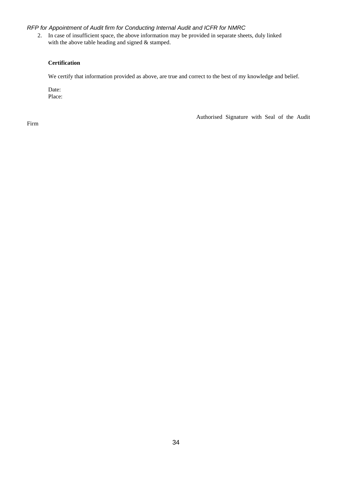2. In case of insufficient space, the above information may be provided in separate sheets, duly linked with the above table heading and signed & stamped.

#### **Certification**

We certify that information provided as above, are true and correct to the best of my knowledge and belief.

Date: Place:

Authorised Signature with Seal of the Audit

<span id="page-33-0"></span>Firm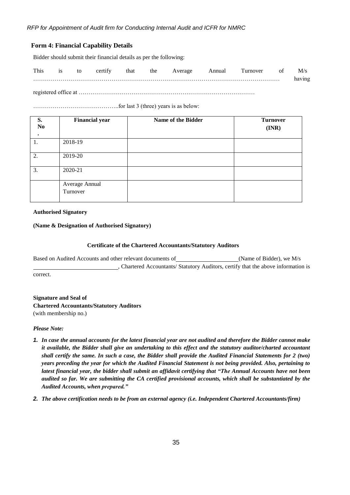## **Form 4: Financial Capability Details**

Bidder should submit their financial details as per the following:

| This | <b>1S</b> | to | certify | that | the | Average | Annual | urnover! | ΟÌ | M/s    |
|------|-----------|----|---------|------|-----|---------|--------|----------|----|--------|
|      |           |    |         |      |     |         |        |          |    | having |

registered office at ………………………………………………………………………………

……………………………………..for last 3 (three) years is as below:

| S.<br>N <sub>0</sub> | <b>Financial year</b>      | Name of the Bidder | <b>Turnover</b><br>(INR) |
|----------------------|----------------------------|--------------------|--------------------------|
|                      |                            |                    |                          |
|                      | 2018-19                    |                    |                          |
| 2.                   | 2019-20                    |                    |                          |
| 3.                   | 2020-21                    |                    |                          |
|                      | Average Annual<br>Turnover |                    |                          |
|                      |                            |                    |                          |

**Authorised Signatory**

#### **(Name & Designation of Authorised Signatory)**

#### <span id="page-34-0"></span>**Certificate of the Chartered Accountants/Statutory Auditors**

Based on Audited Accounts and other relevant documents of (Name of Bidder), we M/s , Chartered Accountants/ Statutory Auditors, certify that the above information is correct.

**Signature and Seal of Chartered Accountants/Statutory Auditors** (with membership no.)

#### *Please Note:*

- *1. In case the annual accounts for the latest financial year are not audited and therefore the Bidder cannot make it available, the Bidder shall give an undertaking to this effect and the statutory auditor/charted accountant shall certify the same. In such a case, the Bidder shall provide the Audited Financial Statements for 2 (two) years preceding the year for which the Audited Financial Statement is not being provided. Also, pertaining to latest financial year, the bidder shall submit an affidavit certifying that "The Annual Accounts have not been audited so far. We are submitting the CA certified provisional accounts, which shall be substantiated by the Audited Accounts, when prepared."*
- *2. The above certification needs to be from an external agency (i.e. Independent Chartered Accountants/firm)*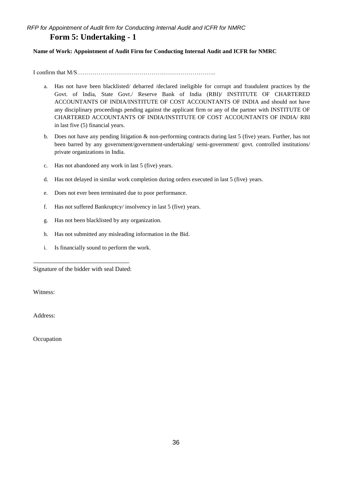# **Form 5: Undertaking - 1**

## **Name of Work: Appointment of Audit Firm for Conducting Internal Audit and ICFR for NMRC**

I confirm that M/S……………………………………………………………..

- a. Has not have been blacklisted/ debarred /declared ineligible for corrupt and fraudulent practices by the Govt. of India, State Govt./ Reserve Bank of India (RBI)/ INSTITUTE OF CHARTERED ACCOUNTANTS OF INDIA/INSTITUTE OF COST ACCOUNTANTS OF INDIA and should not have any disciplinary proceedings pending against the applicant firm or any of the partner with INSTITUTE OF CHARTERED ACCOUNTANTS OF INDIA/INSTITUTE OF COST ACCOUNTANTS OF INDIA/ RBI in last five (5) financial years.
- b. Does not have any pending litigation & non-performing contracts during last 5 (five) years. Further, has not been barred by any government/government-undertaking/ semi-government/ govt. controlled institutions/ private organizations in India.
- c. Has not abandoned any work in last 5 (five) years.
- d. Has not delayed in similar work completion during orders executed in last 5 (five) years.
- e. Does not ever been terminated due to poor performance.
- f. Has not suffered Bankruptcy/ insolvency in last 5 (five) years.
- g. Has not been blacklisted by any organization.
- h. Has not submitted any misleading information in the Bid.
- i. Is financially sound to perform the work.

Signature of the bidder with seal Dated:

Witness:

Address:

**Occupation**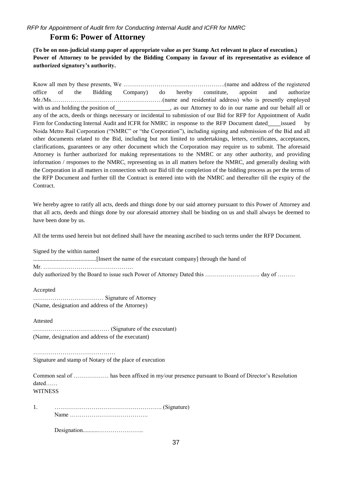# **Form 6: Power of Attorney**

<span id="page-36-0"></span>**(To be on non-judicial stamp paper of appropriate value as per Stamp Act relevant to place of execution.) Power of Attorney to be provided by the Bidding Company in favour of its representative as evidence of authorized signatory's authority.**

Know all men by these presents, We …………………………………………….(name and address of the registered office of the Bidding Company) do hereby constitute, appoint and authorize Mr./Ms…………………………………………………(name and residential address) who is presently employed with us and holding the position of , as our Attorney to do in our name and our behalf all or any of the acts, deeds or things necessary or incidental to submission of our Bid for RFP for Appointment of Audit Firm for Conducting Internal Audit and ICFR for NMRC in response to the RFP Document dated issued by Noida Metro Rail Corporation ("NMRC" or "the Corporation"), including signing and submission of the Bid and all other documents related to the Bid, including but not limited to undertakings, letters, certificates, acceptances, clarifications, guarantees or any other document which the Corporation may require us to submit. The aforesaid Attorney is further authorized for making representations to the NMRC or any other authority, and providing information / responses to the NMRC, representing us in all matters before the NMRC, and generally dealing with the Corporation in all matters in connection with our Bid till the completion of the bidding process as per the terms of the RFP Document and further till the Contract is entered into with the NMRC and thereafter till the expiry of the **Contract.** 

We hereby agree to ratify all acts, deeds and things done by our said attorney pursuant to this Power of Attorney and that all acts, deeds and things done by our aforesaid attorney shall be binding on us and shall always be deemed to have been done by us.

All the terms used herein but not defined shall have the meaning ascribed to such terms under the RFP Document.

Signed by the within named

...........................................[Insert the name of the executant company] through the hand of

Mr. ……………………………………….

duly authorized by the Board to issue such Power of Attorney Dated this ………………………… day of ………

Accepted

……………………………… Signature of Attorney (Name, designation and address of the Attorney)

Attested

| (Name, designation and address of the executant) |  |
|--------------------------------------------------|--|

……………………………………………… Signature and stamp of Notary of the place of execution

Common seal of ……………… has been affixed in my/our presence pursuant to Board of Director's Resolution dated…… **WITNESS** 

1. ………………………………………………. (Signature) Name ………………………………….

Designation...........…………………..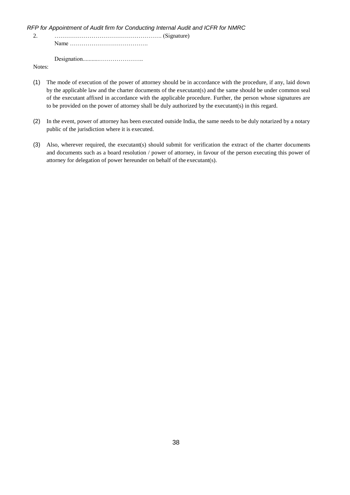Notes:

- (1) The mode of execution of the power of attorney should be in accordance with the procedure, if any, laid down by the applicable law and the charter documents of the executant(s) and the same should be under common seal of the executant affixed in accordance with the applicable procedure. Further, the person whose signatures are to be provided on the power of attorney shall be duly authorized by the executant(s) in this regard.
- (2) In the event, power of attorney has been executed outside India, the same needs to be duly notarized by a notary public of the jurisdiction where it is executed.
- <span id="page-37-0"></span>(3) Also, wherever required, the executant(s) should submit for verification the extract of the charter documents and documents such as a board resolution / power of attorney, in favour of the person executing this power of attorney for delegation of power hereunder on behalf of the executant(s).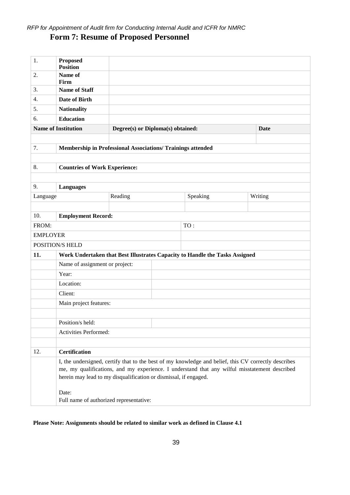# **Form 7: Resume of Proposed Personnel**

| 1.       | <b>Proposed</b><br><b>Position</b>                                                                                                                                                                                                                                        |         |  |          |  |         |  |
|----------|---------------------------------------------------------------------------------------------------------------------------------------------------------------------------------------------------------------------------------------------------------------------------|---------|--|----------|--|---------|--|
| 2.       | Name of<br>Firm                                                                                                                                                                                                                                                           |         |  |          |  |         |  |
| 3.       | <b>Name of Staff</b>                                                                                                                                                                                                                                                      |         |  |          |  |         |  |
| 4.       | Date of Birth                                                                                                                                                                                                                                                             |         |  |          |  |         |  |
| 5.       | <b>Nationality</b>                                                                                                                                                                                                                                                        |         |  |          |  |         |  |
| б.       | <b>Education</b>                                                                                                                                                                                                                                                          |         |  |          |  |         |  |
|          | <b>Name of Institution</b><br>Degree(s) or Diploma(s) obtained:<br><b>Date</b>                                                                                                                                                                                            |         |  |          |  |         |  |
|          |                                                                                                                                                                                                                                                                           |         |  |          |  |         |  |
| 7.       | Membership in Professional Associations/ Trainings attended                                                                                                                                                                                                               |         |  |          |  |         |  |
|          |                                                                                                                                                                                                                                                                           |         |  |          |  |         |  |
| 8.       | <b>Countries of Work Experience:</b>                                                                                                                                                                                                                                      |         |  |          |  |         |  |
|          |                                                                                                                                                                                                                                                                           |         |  |          |  |         |  |
| 9.       | <b>Languages</b>                                                                                                                                                                                                                                                          |         |  |          |  |         |  |
| Language |                                                                                                                                                                                                                                                                           | Reading |  | Speaking |  | Writing |  |
|          |                                                                                                                                                                                                                                                                           |         |  |          |  |         |  |
| 10.      | <b>Employment Record:</b>                                                                                                                                                                                                                                                 |         |  |          |  |         |  |
| FROM:    |                                                                                                                                                                                                                                                                           |         |  | TO:      |  |         |  |
|          | <b>EMPLOYER</b>                                                                                                                                                                                                                                                           |         |  |          |  |         |  |
|          | POSITION/S HELD                                                                                                                                                                                                                                                           |         |  |          |  |         |  |
| 11.      | Work Undertaken that Best Illustrates Capacity to Handle the Tasks Assigned                                                                                                                                                                                               |         |  |          |  |         |  |
|          | Name of assignment or project:                                                                                                                                                                                                                                            |         |  |          |  |         |  |
|          | Year:                                                                                                                                                                                                                                                                     |         |  |          |  |         |  |
|          | Location:                                                                                                                                                                                                                                                                 |         |  |          |  |         |  |
|          | Client:                                                                                                                                                                                                                                                                   |         |  |          |  |         |  |
|          | Main project features:                                                                                                                                                                                                                                                    |         |  |          |  |         |  |
|          |                                                                                                                                                                                                                                                                           |         |  |          |  |         |  |
|          | Position/s held:                                                                                                                                                                                                                                                          |         |  |          |  |         |  |
|          | Activities Performed:                                                                                                                                                                                                                                                     |         |  |          |  |         |  |
|          |                                                                                                                                                                                                                                                                           |         |  |          |  |         |  |
| 12.      | <b>Certification</b>                                                                                                                                                                                                                                                      |         |  |          |  |         |  |
|          | I, the undersigned, certify that to the best of my knowledge and belief, this CV correctly describes<br>me, my qualifications, and my experience. I understand that any wilful misstatement described<br>herein may lead to my disqualification or dismissal, if engaged. |         |  |          |  |         |  |
|          | Date:<br>Full name of authorized representative:                                                                                                                                                                                                                          |         |  |          |  |         |  |

# <span id="page-38-0"></span>**Please Note: Assignments should be related to similar work as defined in Clause [4.1](#page-13-1)**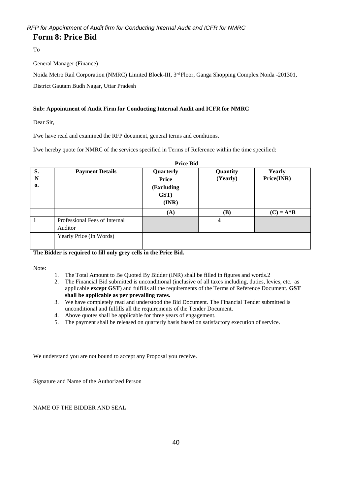# **Form 8: Price Bid**

To

General Manager (Finance)

Noida Metro Rail Corporation (NMRC) Limited Block-III, 3rd Floor, Ganga Shopping Complex Noida -201301,

District Gautam Budh Nagar, Uttar Pradesh

# **Sub: Appointment of Audit Firm for Conducting Internal Audit and ICFR for NMRC**

Dear Sir,

I/we have read and examined the RFP document, general terms and conditions.

I/we hereby quote for NMRC of the services specified in Terms of Reference within the time specified:

| <b>Price Bid</b> |                                          |                                                                     |                         |                             |  |  |  |  |
|------------------|------------------------------------------|---------------------------------------------------------------------|-------------------------|-----------------------------|--|--|--|--|
| S.<br>N<br>0.    | <b>Payment Details</b>                   | Quarterly<br><b>Price</b><br>(Excluding<br>GST)<br>$(\mathbf{INR})$ | Quantity<br>(Yearly)    | <b>Yearly</b><br>Price(INR) |  |  |  |  |
|                  |                                          | (A)                                                                 | (B)                     | $(C) = A*B$                 |  |  |  |  |
|                  | Professional Fees of Internal<br>Auditor |                                                                     | $\overline{\mathbf{4}}$ |                             |  |  |  |  |
|                  | Yearly Price (In Words)                  |                                                                     |                         |                             |  |  |  |  |

#### **The Bidder is required to fill only grey cells in the Price Bid.**

Note:

- 1. The Total Amount to Be Quoted By Bidder (INR) shall be filled in figures and words.2
- 2. The Financial Bid submitted is unconditional (inclusive of all taxes including, duties, levies, etc. as applicable **except GST**) and fulfills all the requirements of the Terms of Reference Document. **GST shall be applicable as per prevailing rates.**
- 3. We have completely read and understood the Bid Document. The Financial Tender submitted is unconditional and fulfills all the requirements of the Tender Document.
- 4. Above quotes shall be applicable for three years of engagement.
- 5. The payment shall be released on quarterly basis based on satisfactory execution of service.

We understand you are not bound to accept any Proposal you receive.

Signature and Name of the Authorized Person

<span id="page-39-0"></span>NAME OF THE BIDDER AND SEAL